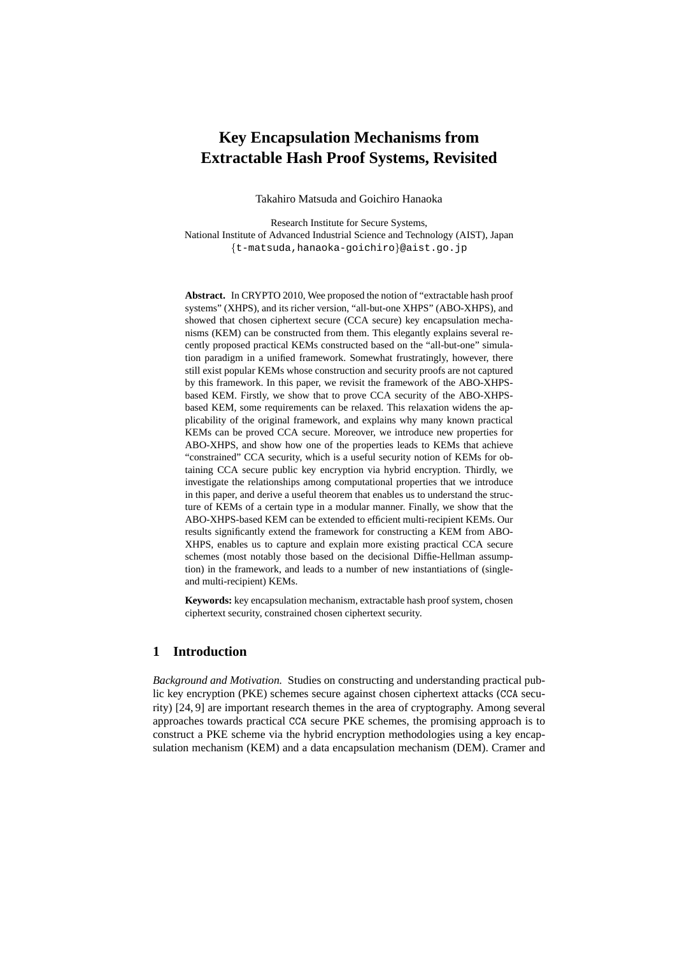# **Key Encapsulation Mechanisms from Extractable Hash Proof Systems, Revisited**

Takahiro Matsuda and Goichiro Hanaoka

Research Institute for Secure Systems, National Institute of Advanced Industrial Science and Technology (AIST), Japan *{*t-matsuda,hanaoka-goichiro*}*@aist.go.jp

**Abstract.** In CRYPTO 2010, Wee proposed the notion of "extractable hash proof systems" (XHPS), and its richer version, "all-but-one XHPS" (ABO-XHPS), and showed that chosen ciphertext secure (CCA secure) key encapsulation mechanisms (KEM) can be constructed from them. This elegantly explains several recently proposed practical KEMs constructed based on the "all-but-one" simulation paradigm in a unified framework. Somewhat frustratingly, however, there still exist popular KEMs whose construction and security proofs are not captured by this framework. In this paper, we revisit the framework of the ABO-XHPSbased KEM. Firstly, we show that to prove CCA security of the ABO-XHPSbased KEM, some requirements can be relaxed. This relaxation widens the applicability of the original framework, and explains why many known practical KEMs can be proved CCA secure. Moreover, we introduce new properties for ABO-XHPS, and show how one of the properties leads to KEMs that achieve "constrained" CCA security, which is a useful security notion of KEMs for obtaining CCA secure public key encryption via hybrid encryption. Thirdly, we investigate the relationships among computational properties that we introduce in this paper, and derive a useful theorem that enables us to understand the structure of KEMs of a certain type in a modular manner. Finally, we show that the ABO-XHPS-based KEM can be extended to efficient multi-recipient KEMs. Our results significantly extend the framework for constructing a KEM from ABO-XHPS, enables us to capture and explain more existing practical CCA secure schemes (most notably those based on the decisional Diffie-Hellman assumption) in the framework, and leads to a number of new instantiations of (singleand multi-recipient) KEMs.

**Keywords:** key encapsulation mechanism, extractable hash proof system, chosen ciphertext security, constrained chosen ciphertext security.

## **1 Introduction**

*Background and Motivation.* Studies on constructing and understanding practical public key encryption (PKE) schemes secure against chosen ciphertext attacks (CCA security) [24, 9] are important research themes in the area of cryptography. Among several approaches towards practical CCA secure PKE schemes, the promising approach is to construct a PKE scheme via the hybrid encryption methodologies using a key encapsulation mechanism (KEM) and a data encapsulation mechanism (DEM). Cramer and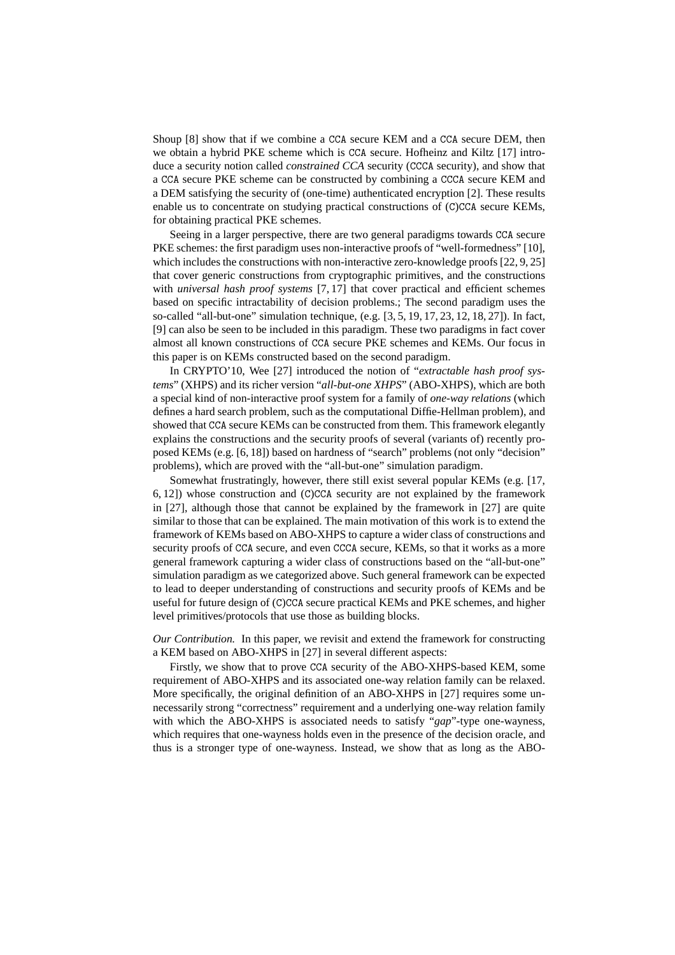Shoup [8] show that if we combine a CCA secure KEM and a CCA secure DEM, then we obtain a hybrid PKE scheme which is CCA secure. Hofheinz and Kiltz [17] introduce a security notion called *constrained CCA* security (CCCA security), and show that a CCA secure PKE scheme can be constructed by combining a CCCA secure KEM and a DEM satisfying the security of (one-time) authenticated encryption [2]. These results enable us to concentrate on studying practical constructions of (C)CCA secure KEMs, for obtaining practical PKE schemes.

Seeing in a larger perspective, there are two general paradigms towards CCA secure PKE schemes: the first paradigm uses non-interactive proofs of "well-formedness" [10], which includes the constructions with non-interactive zero-knowledge proofs [22, 9, 25] that cover generic constructions from cryptographic primitives, and the constructions with *universal hash proof systems* [7, 17] that cover practical and efficient schemes based on specific intractability of decision problems.; The second paradigm uses the so-called "all-but-one" simulation technique, (e.g. [3, 5, 19, 17, 23, 12, 18, 27]). In fact, [9] can also be seen to be included in this paradigm. These two paradigms in fact cover almost all known constructions of CCA secure PKE schemes and KEMs. Our focus in this paper is on KEMs constructed based on the second paradigm.

In CRYPTO'10, Wee [27] introduced the notion of "*extractable hash proof systems*" (XHPS) and its richer version "*all-but-one XHPS*" (ABO-XHPS), which are both a special kind of non-interactive proof system for a family of *one-way relations* (which defines a hard search problem, such as the computational Diffie-Hellman problem), and showed that CCA secure KEMs can be constructed from them. This framework elegantly explains the constructions and the security proofs of several (variants of) recently proposed KEMs (e.g. [6, 18]) based on hardness of "search" problems (not only "decision" problems), which are proved with the "all-but-one" simulation paradigm.

Somewhat frustratingly, however, there still exist several popular KEMs (e.g. [17, 6, 12]) whose construction and (C)CCA security are not explained by the framework in [27], although those that cannot be explained by the framework in [27] are quite similar to those that can be explained. The main motivation of this work is to extend the framework of KEMs based on ABO-XHPS to capture a wider class of constructions and security proofs of CCA secure, and even CCCA secure, KEMs, so that it works as a more general framework capturing a wider class of constructions based on the "all-but-one" simulation paradigm as we categorized above. Such general framework can be expected to lead to deeper understanding of constructions and security proofs of KEMs and be useful for future design of (C)CCA secure practical KEMs and PKE schemes, and higher level primitives/protocols that use those as building blocks.

*Our Contribution.* In this paper, we revisit and extend the framework for constructing a KEM based on ABO-XHPS in [27] in several different aspects:

Firstly, we show that to prove CCA security of the ABO-XHPS-based KEM, some requirement of ABO-XHPS and its associated one-way relation family can be relaxed. More specifically, the original definition of an ABO-XHPS in [27] requires some unnecessarily strong "correctness" requirement and a underlying one-way relation family with which the ABO-XHPS is associated needs to satisfy "*gap*"-type one-wayness, which requires that one-wayness holds even in the presence of the decision oracle, and thus is a stronger type of one-wayness. Instead, we show that as long as the ABO-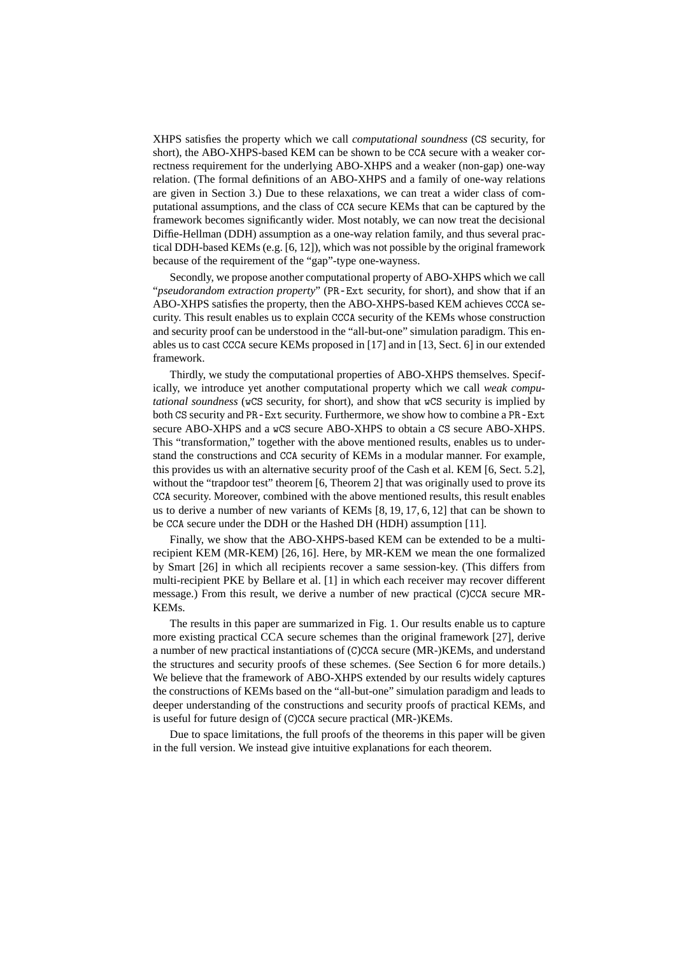XHPS satisfies the property which we call *computational soundness* (CS security, for short), the ABO-XHPS-based KEM can be shown to be CCA secure with a weaker correctness requirement for the underlying ABO-XHPS and a weaker (non-gap) one-way relation. (The formal definitions of an ABO-XHPS and a family of one-way relations are given in Section 3.) Due to these relaxations, we can treat a wider class of computational assumptions, and the class of CCA secure KEMs that can be captured by the framework becomes significantly wider. Most notably, we can now treat the decisional Diffie-Hellman (DDH) assumption as a one-way relation family, and thus several practical DDH-based KEMs (e.g. [6, 12]), which was not possible by the original framework because of the requirement of the "gap"-type one-wayness.

Secondly, we propose another computational property of ABO-XHPS which we call "*pseudorandom extraction property*" (PR-Ext security, for short), and show that if an ABO-XHPS satisfies the property, then the ABO-XHPS-based KEM achieves CCCA security. This result enables us to explain CCCA security of the KEMs whose construction and security proof can be understood in the "all-but-one" simulation paradigm. This enables us to cast CCCA secure KEMs proposed in [17] and in [13, Sect. 6] in our extended framework.

Thirdly, we study the computational properties of ABO-XHPS themselves. Specifically, we introduce yet another computational property which we call *weak computational soundness* (wCS security, for short), and show that wCS security is implied by both CS security and PR-Ext security. Furthermore, we show how to combine a PR-Ext secure ABO-XHPS and a wCS secure ABO-XHPS to obtain a CS secure ABO-XHPS. This "transformation," together with the above mentioned results, enables us to understand the constructions and CCA security of KEMs in a modular manner. For example, this provides us with an alternative security proof of the Cash et al. KEM [6, Sect. 5.2], without the "trapdoor test" theorem [6, Theorem 2] that was originally used to prove its CCA security. Moreover, combined with the above mentioned results, this result enables us to derive a number of new variants of KEMs [8, 19, 17, 6, 12] that can be shown to be CCA secure under the DDH or the Hashed DH (HDH) assumption [11].

Finally, we show that the ABO-XHPS-based KEM can be extended to be a multirecipient KEM (MR-KEM) [26, 16]. Here, by MR-KEM we mean the one formalized by Smart [26] in which all recipients recover a same session-key. (This differs from multi-recipient PKE by Bellare et al. [1] in which each receiver may recover different message.) From this result, we derive a number of new practical (C)CCA secure MR-KEMs.

The results in this paper are summarized in Fig. 1. Our results enable us to capture more existing practical CCA secure schemes than the original framework [27], derive a number of new practical instantiations of (C)CCA secure (MR-)KEMs, and understand the structures and security proofs of these schemes. (See Section 6 for more details.) We believe that the framework of ABO-XHPS extended by our results widely captures the constructions of KEMs based on the "all-but-one" simulation paradigm and leads to deeper understanding of the constructions and security proofs of practical KEMs, and is useful for future design of (C)CCA secure practical (MR-)KEMs.

Due to space limitations, the full proofs of the theorems in this paper will be given in the full version. We instead give intuitive explanations for each theorem.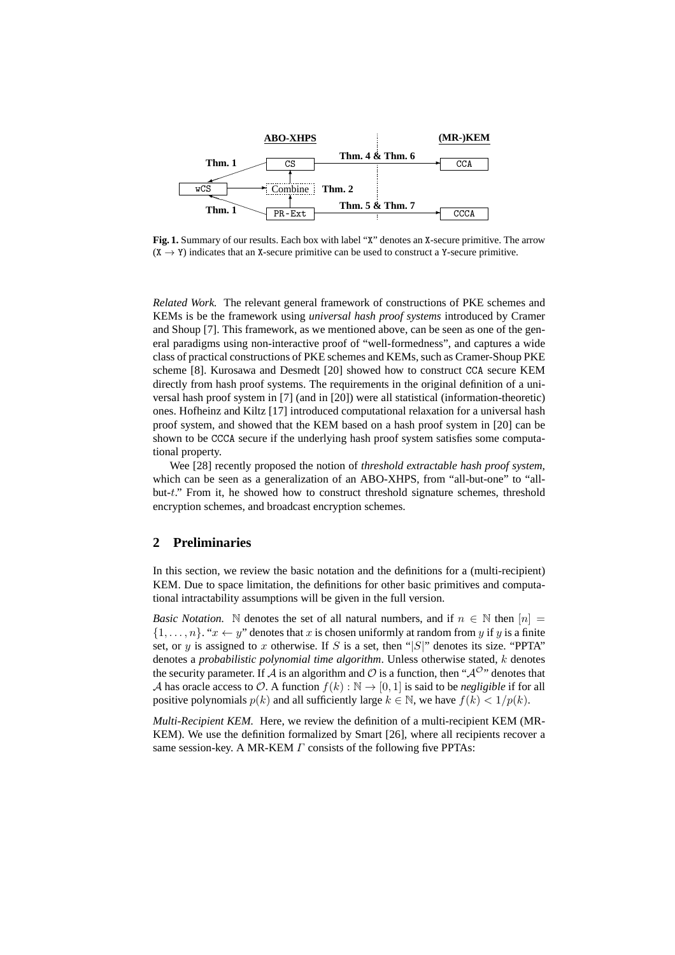

Fig. 1. Summary of our results. Each box with label "X" denotes an X-secure primitive. The arrow (X *→* Y) indicates that an X-secure primitive can be used to construct a Y-secure primitive.

*Related Work.* The relevant general framework of constructions of PKE schemes and KEMs is be the framework using *universal hash proof systems* introduced by Cramer and Shoup [7]. This framework, as we mentioned above, can be seen as one of the general paradigms using non-interactive proof of "well-formedness", and captures a wide class of practical constructions of PKE schemes and KEMs, such as Cramer-Shoup PKE scheme [8]. Kurosawa and Desmedt [20] showed how to construct CCA secure KEM directly from hash proof systems. The requirements in the original definition of a universal hash proof system in [7] (and in [20]) were all statistical (information-theoretic) ones. Hofheinz and Kiltz [17] introduced computational relaxation for a universal hash proof system, and showed that the KEM based on a hash proof system in [20] can be shown to be CCCA secure if the underlying hash proof system satisfies some computational property.

Wee [28] recently proposed the notion of *threshold extractable hash proof system*, which can be seen as a generalization of an ABO-XHPS, from "all-but-one" to "allbut-*t*." From it, he showed how to construct threshold signature schemes, threshold encryption schemes, and broadcast encryption schemes.

# **2 Preliminaries**

In this section, we review the basic notation and the definitions for a (multi-recipient) KEM. Due to space limitation, the definitions for other basic primitives and computational intractability assumptions will be given in the full version.

*Basic Notation.* N denotes the set of all natural numbers, and if  $n \in \mathbb{N}$  then  $[n] =$  ${1, \ldots, n}$ . " $x \leftarrow y$ " denotes that *x* is chosen uniformly at random from *y* if *y* is a finite set, or *y* is assigned to *x* otherwise. If *S* is a set, then " $|S|$ " denotes its size. "PPTA" denotes a *probabilistic polynomial time algorithm*. Unless otherwise stated, *k* denotes the security parameter. If A is an algorithm and  $\mathcal O$  is a function, then " $\mathcal A^{\mathcal O}$ " denotes that *A* has oracle access to *O*. A function  $f(k): \mathbb{N} \to [0, 1]$  is said to be *negligible* if for all positive polynomials  $p(k)$  and all sufficiently large  $k \in \mathbb{N}$ , we have  $f(k) < 1/p(k)$ .

*Multi-Recipient KEM.* Here, we review the definition of a multi-recipient KEM (MR-KEM). We use the definition formalized by Smart [26], where all recipients recover a same session-key. A MR-KEM *Γ* consists of the following five PPTAs: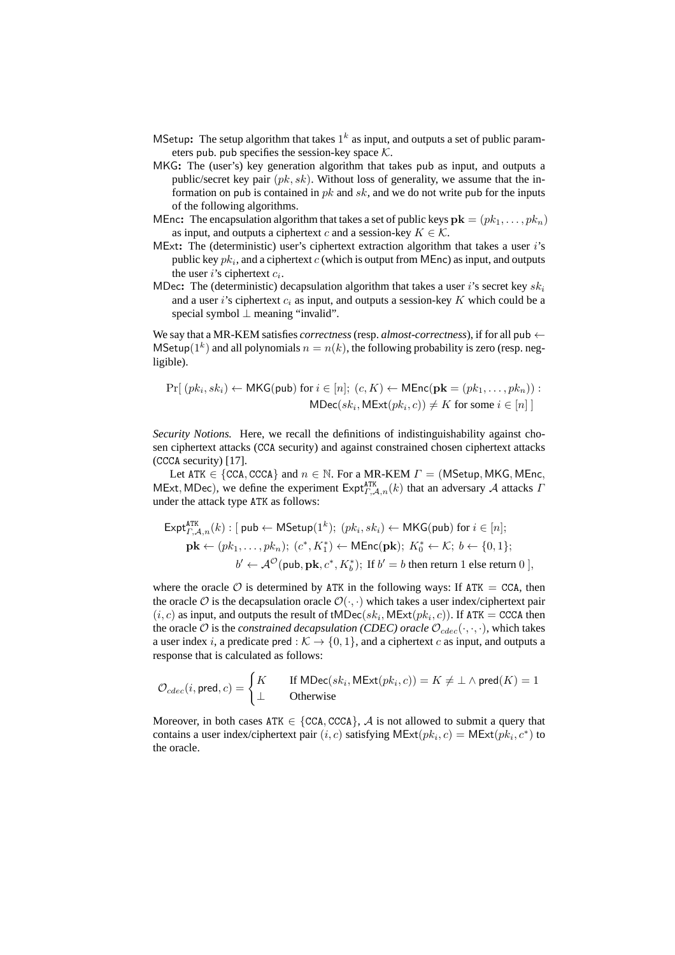- MSetup: The setup algorithm that takes  $1^k$  as input, and outputs a set of public parameters pub. pub specifies the session-key space *K*.
- MKG**:** The (user's) key generation algorithm that takes pub as input, and outputs a public/secret key pair (*pk, sk*). Without loss of generality, we assume that the information on pub is contained in *pk* and *sk*, and we do not write pub for the inputs of the following algorithms.
- MEnc: The encapsulation algorithm that takes a set of public keys  $\mathbf{pk} = (pk_1, \ldots, pk_n)$ as input, and outputs a ciphertext *c* and a session-key  $K \in \mathcal{K}$ .
- MExt**:** The (deterministic) user's ciphertext extraction algorithm that takes a user *i*'s public key *pk<sup>i</sup>* , and a ciphertext *c* (which is output from MEnc) as input, and outputs the user *i*'s ciphertext  $c_i$ .
- MDec**:** The (deterministic) decapsulation algorithm that takes a user *i*'s secret key *sk<sup>i</sup>* and a user *i*'s ciphertext *c<sup>i</sup>* as input, and outputs a session-key *K* which could be a special symbol *⊥* meaning "invalid".

We say that a MR-KEM satisfies *correctness*(resp. *almost-correctness*), if for all pub *←* MSetup( $1^k$ ) and all polynomials  $n = n(k)$ , the following probability is zero (resp. negligible).

$$
Pr[ (pk_i, sk_i) \leftarrow \mathsf{MKG}(\mathsf{pub}) \text{ for } i \in [n]; (c, K) \leftarrow \mathsf{MEnc}(\mathbf{pk} = (pk_1, \dots, pk_n)) :
$$
  

$$
\mathsf{MDec}(sk_i, \mathsf{MExt}(pk_i, c)) \neq K \text{ for some } i \in [n] ]
$$

*Security Notions.* Here, we recall the definitions of indistinguishability against chosen ciphertext attacks (CCA security) and against constrained chosen ciphertext attacks (CCCA security) [17].

Let ATK  $\in$  {CCA, CCCA} and  $n \in \mathbb{N}$ . For a MR-KEM  $\Gamma =$  (MSetup, MKG, MEnc, MExt, MDec), we define the experiment  $\text{Expt}_{\Gamma,\mathcal{A},n}^{\text{ATK}}(k)$  that an adversary  $\mathcal A$  attacks  $\Gamma$ under the attack type ATK as follows:

$$
\mathsf{Expt}_{\varGamma,A,n}^{\mathsf{ATK}}(k) : [\text{ pub} \leftarrow \mathsf{MSetup}(1^k); (pk_i, sk_i) \leftarrow \mathsf{MKG}(\mathsf{pub}) \text{ for } i \in [n];
$$
\n
$$
\mathbf{pk} \leftarrow (pk_1, \dots, pk_n); (c^*, K_1^*) \leftarrow \mathsf{MEnc}(\mathbf{pk}); K_0^* \leftarrow \mathcal{K}; b \leftarrow \{0, 1\};
$$
\n
$$
b' \leftarrow \mathcal{A}^{\mathcal{O}}(\mathsf{pub}, \mathbf{pk}, c^*, K_b^*); \text{ If } b' = b \text{ then return 1 else return 0},
$$

where the oracle  $\mathcal O$  is determined by ATK in the following ways: If ATK = CCA, then the oracle  $\mathcal{O}$  is the decapsulation oracle  $\mathcal{O}(\cdot, \cdot)$  which takes a user index/ciphertext pair  $(i, c)$  as input, and outputs the result of tMDec( $sk_i$ , MExt( $pk_i$ ,  $c$ )). If ATK = CCCA then the oracle  $O$  is the *constrained decapsulation (CDEC) oracle*  $O_{cdec}(\cdot, \cdot, \cdot)$ , which takes a user index *i*, a predicate pred :  $K \rightarrow \{0, 1\}$ , and a ciphertext *c* as input, and outputs a response that is calculated as follows:

$$
\mathcal{O}_{cdec}(i,\text{pred},c) = \begin{cases} K \qquad \text{If MDec}(sk_i,\text{MExt}(pk_i,c)) = K \neq \bot \wedge \text{pred}(K) = 1 \\ \bot \qquad \text{Otherwise} \end{cases}
$$

Moreover, in both cases ATK *∈ {*CCA*,* CCCA*}*, *A* is not allowed to submit a query that contains a user index/ciphertext pair  $(i, c)$  satisfying  $MExt(pk_i, c) = MExt(pk_i, c^*)$  to the oracle.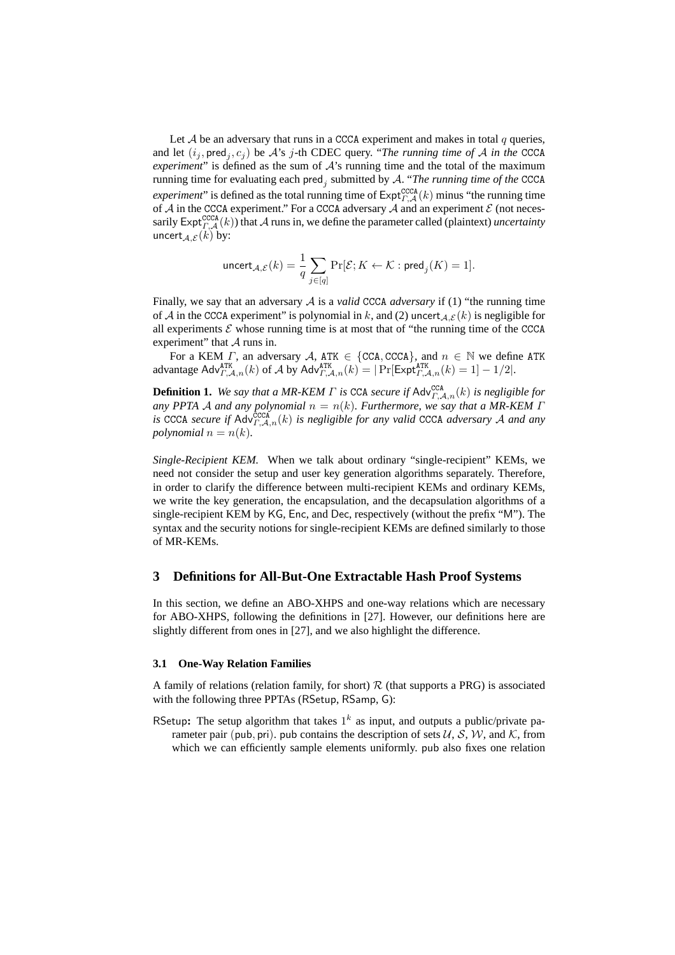Let  $A$  be an adversary that runs in a CCCA experiment and makes in total  $q$  queries, and let  $(i_j, \text{pred}_j, c_j)$  be A's *j*-th CDEC query. "*The running time of* A *in the* CCCA *experiment*" is defined as the sum of *A*'s running time and the total of the maximum running time for evaluating each pred*<sup>j</sup>* submitted by *A*. "*The running time of the* CCCA *experiment*" is defined as the total running time of  $\text{Expt}_{T,A}^{\text{CCCA}}(k)$  minus "the running time of  $A$  in the CCCA experiment." For a CCCA adversary  $A$  and an experiment  $\mathcal E$  (not necessarily  $\text{Expt}_{T,A}^{\text{CCCA}}(k)$ ) that *A* runs in, we define the parameter called (plaintext) *uncertainty* uncert<sub>*A*</sub> $\mathcal{E}(k)$  by:

$$
\text{uncert}_{\mathcal{A},\mathcal{E}}(k) = \frac{1}{q}\sum_{j\in [q]} \Pr[\mathcal{E};K\leftarrow\mathcal{K}: \text{pred}_j(K) = 1].
$$

Finally, we say that an adversary *A* is a *valid* CCCA *adversary* if (1) "the running time of *A* in the CCCA experiment" is polynomial in *k*, and (2) uncert  $\overline{A}_{\mathcal{E}}(k)$  is negligible for all experiments  $\mathcal E$  whose running time is at most that of "the running time of the CCCA experiment" that *A* runs in.

For a KEM *Γ*, an adversary *A*, ATK *∈ {*CCA*,* CCCA*}*, and *n ∈* N we define ATK advantage  $\mathsf{Adv}_{\mathit{r,A,n}}^{\mathsf{ATK}}(k)$  of *A* by  $\mathsf{Adv}_{\mathit{r,A,n}}^{\mathsf{ATK}}(k) = |\Pr[\mathsf{Expt}_{\mathit{r,A,n}}^{\mathsf{ATK}}(k) = 1] - 1/2|$ .

**Definition 1.** We say that a MR-KEM  $\Gamma$  is CCA secure if  $\mathsf{Adv}_{\Gamma,A,n}^{\mathsf{CCA}}(k)$  is negligible for *any PPTA A and any polynomial*  $n = n(k)$ *. Furthermore, we say that a MR-KEM Γ is* CCCA *secure if*  $\mathsf{Adv}_{\Gamma,\mathcal{A},n}^{\mathsf{CCCA}}(k)$  *is negligible for any valid* CCCA *adversary A and any polynomial*  $n = n(k)$ .

*Single-Recipient KEM.* When we talk about ordinary "single-recipient" KEMs, we need not consider the setup and user key generation algorithms separately. Therefore, in order to clarify the difference between multi-recipient KEMs and ordinary KEMs, we write the key generation, the encapsulation, and the decapsulation algorithms of a single-recipient KEM by KG, Enc, and Dec, respectively (without the prefix "M"). The syntax and the security notions for single-recipient KEMs are defined similarly to those of MR-KEMs.

## **3 Definitions for All-But-One Extractable Hash Proof Systems**

In this section, we define an ABO-XHPS and one-way relations which are necessary for ABO-XHPS, following the definitions in [27]. However, our definitions here are slightly different from ones in [27], and we also highlight the difference.

#### **3.1 One-Way Relation Families**

A family of relations (relation family, for short) *R* (that supports a PRG) is associated with the following three PPTAs (RSetup, RSamp, G):

RSetup: The setup algorithm that takes  $1^k$  as input, and outputs a public/private parameter pair (pub, pri). pub contains the description of sets  $U$ , *S*, *W*, and *K*, from which we can efficiently sample elements uniformly. pub also fixes one relation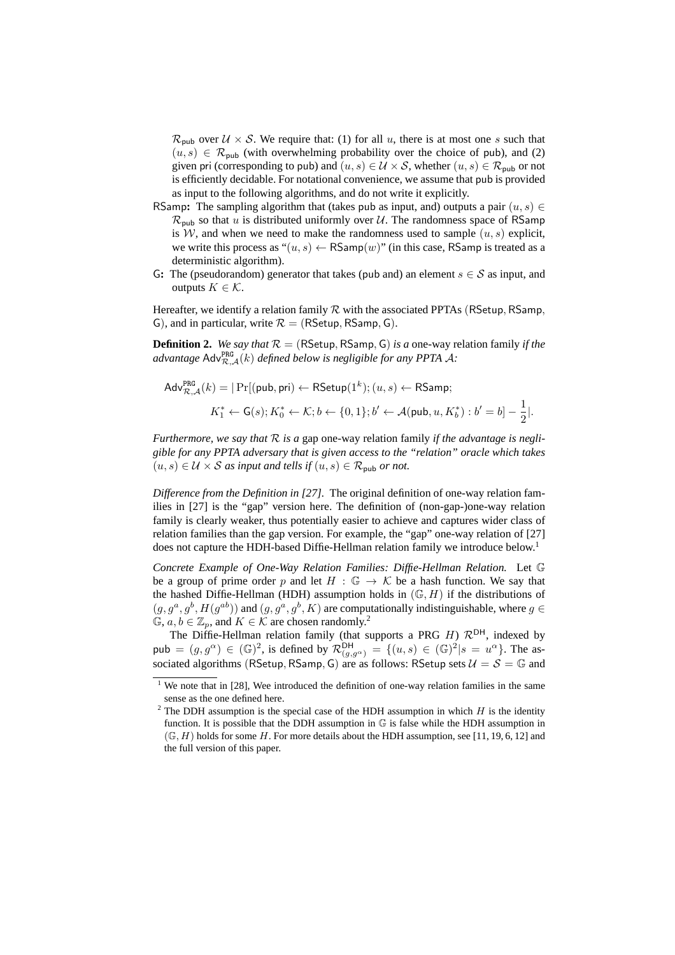$\mathcal{R}_{\text{pub}}$  over  $\mathcal{U} \times \mathcal{S}$ . We require that: (1) for all *u*, there is at most one *s* such that  $(u, s) \in \mathcal{R}_{\text{pub}}$  (with overwhelming probability over the choice of pub), and (2) given pri (corresponding to pub) and  $(u, s) \in \mathcal{U} \times \mathcal{S}$ , whether  $(u, s) \in \mathcal{R}_{\text{pub}}$  or not is efficiently decidable. For notational convenience, we assume that pub is provided as input to the following algorithms, and do not write it explicitly.

- RSamp: The sampling algorithm that (takes pub as input, and) outputs a pair  $(u, s) \in$  $\mathcal{R}_{\text{pub}}$  so that *u* is distributed uniformly over *U*. The randomness space of RSamp is  $W$ , and when we need to make the randomness used to sample  $(u, s)$  explicit, we write this process as " $(u, s) \leftarrow \text{RSamp}(w)$ " (in this case, RSamp is treated as a deterministic algorithm).
- G: The (pseudorandom) generator that takes (pub and) an element  $s \in S$  as input, and outputs *K ∈ K*.

Hereafter, we identify a relation family *R* with the associated PPTAs (RSetup*,* RSamp*,* G), and in particular, write  $\mathcal{R} = (R\mathsf{Setup}, R\mathsf{Samp}, G)$ .

**Definition 2.** We say that  $R = (R$ Setup, RSamp, G) *is a* one-way relation family *if the advantage* AdvPRG *<sup>R</sup>,A*(*k*) *defined below is negligible for any PPTA A:*

$$
\begin{aligned} \mathsf{Adv}_{\mathcal{R}, \mathcal{A}}^{\mathsf{PRG}}(k)=|\Pr[(\mathsf{pub}, \mathsf{pri}) \leftarrow \mathsf{RSetup}(1^k); (u, s) \leftarrow \mathsf{RSamp}; \\ K_1^* \leftarrow \mathsf{G}(s); K_0^* \leftarrow \mathcal{K}; b \leftarrow \{0, 1\}; b' \leftarrow \mathcal{A}(\mathsf{pub}, u, K_b^*): b' = b] - \frac{1}{2}|\mathsf{.} \end{aligned}
$$

*Furthermore, we say that R is a* gap one-way relation family *if the advantage is negligible for any PPTA adversary that is given access to the "relation" oracle which takes*  $(u, s) ∈ U × S$  *as input and tells if*  $(u, s) ∈ R$ <sub>pub</sub> *or not.* 

*Difference from the Definition in [27].* The original definition of one-way relation families in [27] is the "gap" version here. The definition of (non-gap-)one-way relation family is clearly weaker, thus potentially easier to achieve and captures wider class of relation families than the gap version. For example, the "gap" one-way relation of [27] does not capture the HDH-based Diffie-Hellman relation family we introduce below.<sup>1</sup>

*Concrete Example of One-Way Relation Families: Diffie-Hellman Relation.* Let G be a group of prime order p and let  $H : \mathbb{G} \to \mathcal{K}$  be a hash function. We say that the hashed Diffie-Hellman (HDH) assumption holds in  $(\mathbb{G}, H)$  if the distributions of  $(g, g^a, g^b, H(g^{ab}))$  and  $(g, g^a, g^b, K)$  are computationally indistinguishable, where  $g \in$  $\mathbb{G}, a, b \in \mathbb{Z}_p$ , and  $K \in \mathcal{K}$  are chosen randomly.<sup>2</sup>

The Diffie-Hellman relation family (that supports a PRG *H*)  $\mathcal{R}^{DH}$ , indexed by  $p \in (g, g^{\alpha}) \in (\mathbb{G})^2$ , is defined by  $\mathcal{R}^{\text{DH}}_{(g, g^{\alpha})} = \{(u, s) \in (\mathbb{G})^2 | s = u^{\alpha} \}$ . The associated algorithms (RSetup, RSamp, G) are as follows: RSetup sets  $\mathcal{U} = \mathcal{S} = \mathbb{G}$  and

 $1$  We note that in [28], Wee introduced the definition of one-way relation families in the same sense as the one defined here.

<sup>&</sup>lt;sup>2</sup> The DDH assumption is the special case of the HDH assumption in which  $H$  is the identity function. It is possible that the DDH assumption in  $\mathbb G$  is false while the HDH assumption in (G*, H*) holds for some *H*. For more details about the HDH assumption, see [11, 19, 6, 12] and the full version of this paper.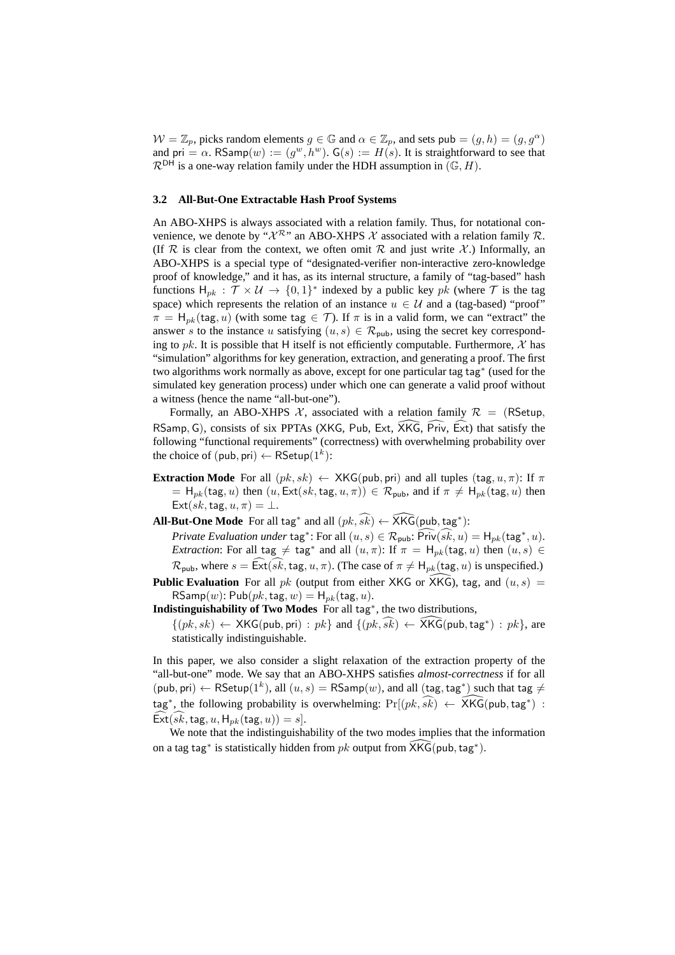$W = \mathbb{Z}_p$ , picks random elements  $g \in \mathbb{G}$  and  $\alpha \in \mathbb{Z}_p$ , and sets pub =  $(g, h) = (g, g^{\alpha})$ and  $\mathsf{pri} = \alpha$ . RSam $\mathsf{p}(w) := (g^w, h^w)$ .  $\mathsf{G}(s) := H(s)$ . It is straightforward to see that  $\mathcal{R}^{\text{DH}}$  is a one-way relation family under the HDH assumption in  $(\mathbb{G}, H)$ .

#### **3.2 All-But-One Extractable Hash Proof Systems**

An ABO-XHPS is always associated with a relation family. Thus, for notational convenience, we denote by " $\mathcal{X}^{\mathcal{R}}$ " an ABO-XHPS  $\mathcal X$  associated with a relation family  $\mathcal R$ . (If  $R$  is clear from the context, we often omit  $R$  and just write  $\mathcal{X}$ .) Informally, an ABO-XHPS is a special type of "designated-verifier non-interactive zero-knowledge proof of knowledge," and it has, as its internal structure, a family of "tag-based" hash functions  $H_{pk}$ :  $\mathcal{T} \times \mathcal{U} \rightarrow \{0,1\}^*$  indexed by a public key *pk* (where  $\mathcal{T}$  is the tag space) which represents the relation of an instance  $u \in U$  and a (tag-based) "proof"  $\pi = H_{pk}(\text{tag}, u)$  (with some tag  $\in \mathcal{T}$ ). If  $\pi$  is in a valid form, we can "extract" the answer *s* to the instance *u* satisfying  $(u, s) \in \mathcal{R}_{\text{pub}}$ , using the secret key corresponding to  $pk$ . It is possible that H itself is not efficiently computable. Furthermore,  $\mathcal X$  has "simulation" algorithms for key generation, extraction, and generating a proof. The first two algorithms work normally as above, except for one particular tag tag*<sup>∗</sup>* (used for the simulated key generation process) under which one can generate a valid proof without a witness (hence the name "all-but-one").

Formally, an ABO-XHPS  $X$ , associated with a relation family  $R = (R\text{Setup}, R)$ RSamp, G), consists of six PPTAs (XKG, Pub, Ext,  $\widehat{\mathsf{XKG}}$ ,  $\widehat{\mathsf{Priv}}$ ,  $\widehat{\mathsf{Ext}}$ ) that satisfy the following "functional requirements" (correctness) with overwhelming probability over the choice of  $(pub, pri)$  ← RSetup $(1<sup>k</sup>)$ :

- **Extraction Mode** For all  $(pk, sk) \leftarrow \mathsf{XKG}(\mathsf{pub}, \mathsf{pri})$  and all tuples  $(\mathsf{tag}, u, \pi)$ : If  $\pi$  $=$  H<sub>pk</sub>(tag<sub>*, u*</sub>) then  $(u, Ext(sk, tag, u, \pi)) \in \mathcal{R}_{\text{pub}}$ , and if  $\pi \neq H_{pk}(tag, u)$  then  $Ext(sk, \text{tag}, u, \pi) = \perp$ .
- **All-But-One Mode** For all tag<sup>\*</sup> and all  $(pk, \widehat{sk}) \leftarrow \widehat{\mathsf{XKG}}(\text{pub}, \text{tag}^*)$ :

*Private Evaluation under*  $\text{tag}^*$ : For all  $(u, s) \in \mathcal{R}_{\text{pub}}$ : Priv $(sk, u) = \text{H}_{pk}(\text{tag}^*, u)$ . *Extraction*: For all tag  $\neq$  tag\* and all  $(u, \pi)$ : If  $\pi = H_{pk}(\text{tag}, u)$  then  $(u, s) \in$  $\mathcal{R}_{\text{pub}}$ , where  $s = \widehat{\text{Ext}}(sk, \text{tag}, u, \pi)$ . (The case of  $\pi \neq \mathsf{H}_{pk}(\text{tag}, u)$  is unspecified.)

- **Public Evaluation** For all *pk* (output from either XKG or  $\widetilde{\mathsf{X}}$ KG), tag, and  $(u, s)$  =  $\mathsf{RSamp}(w)$ :  $\mathsf{Pub}(pk, \mathsf{tag}, w) = \mathsf{H}_{pk}(\mathsf{tag}, u)$ .
- **Indistinguishability of Two Modes** For all tag*<sup>∗</sup>* , the two distributions,

 ${(pk, sk) \leftarrow \mathsf{XKG}(\mathsf{pub}, \mathsf{pri}) : pk}$  and  ${(pk, sk) \leftarrow \mathsf{\widetilde{XKG}}(\mathsf{pub}, \mathsf{tag}^*) : pk}$ , are statistically indistinguishable.

In this paper, we also consider a slight relaxation of the extraction property of the "all-but-one" mode. We say that an ABO-XHPS satisfies *almost-correctness* if for all  $(\mathsf{pub}, \mathsf{pri}) \leftarrow \mathsf{RSetup}(1^k)$ , all  $(u, s) = \mathsf{RSample}(w)$ , and all  $(\mathsf{tag}, \mathsf{tag}^*)$  such that tag  $\neq$ tag<sup>\*</sup>, the following probability is overwhelming:  $Pr[(pk, \widehat{sk}) \leftarrow \widehat{\mathsf{X}}\mathsf{KG}(\mathsf{pub}, \mathsf{tag}^*)$ :  $Ext(sk, tag, u, H_{pk}(tag, u)) = s$ .

We note that the indistinguishability of the two modes implies that the information on a tag tag*<sup>∗</sup>* is statistically hidden from *pk* output from XKG [(pub*,*tag*<sup>∗</sup>* ).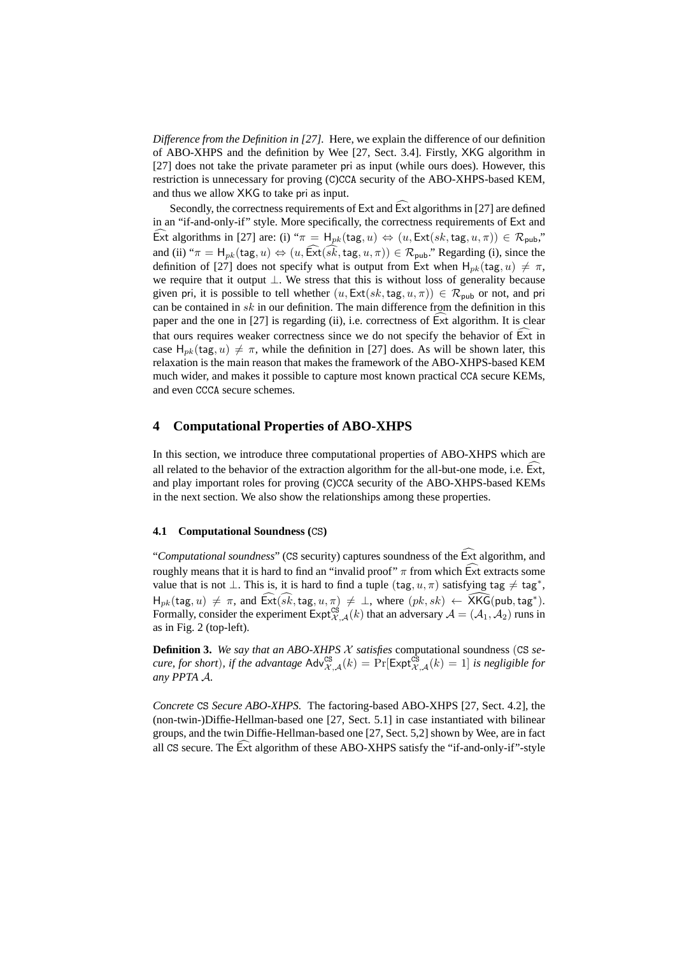*Difference from the Definition in [27].* Here, we explain the difference of our definition of ABO-XHPS and the definition by Wee [27, Sect. 3.4]. Firstly, XKG algorithm in [27] does not take the private parameter pri as input (while ours does). However, this restriction is unnecessary for proving (C)CCA security of the ABO-XHPS-based KEM, and thus we allow XKG to take pri as input.

Secondly, the correctness requirements of  $Ext$  and  $\widehat{Ext}$  algorithms in [27] are defined in an "if-and-only-if" style. More specifically, the correctness requirements of Ext and Ext algorithms in [27] are: (i) " $\pi = H_{pk}(\text{tag}, u) \Leftrightarrow (u, \text{Ext}(sk, \text{tag}, u, \pi)) \in \mathcal{R}_{pub}$ " and (ii) " $\pi = H_{pk}(\text{tag}, u) \Leftrightarrow (u, \text{Ext}(sk, \text{tag}, u, \pi)) \in \mathcal{R}_{pub}$ ." Regarding (i), since the definition of [27] does not specify what is output from Ext when  $H_{pk}(\text{tag}, u) \neq \pi$ , we require that it output *⊥*. We stress that this is without loss of generality because given pri, it is possible to tell whether  $(u, Ext(sk, tag, u, \pi)) \in \mathcal{R}_{\text{pub}}$  or not, and pri can be contained in *sk* in our definition. The main difference from the definition in this paper and the one in  $[27]$  is regarding (ii), i.e. correctness of Ext algorithm. It is clear that ours requires weaker correctness since we do not specify the behavior of Ext in case  $H_{pk}(\text{tag}, u) \neq \pi$ , while the definition in [27] does. As will be shown later, this relaxation is the main reason that makes the framework of the ABO-XHPS-based KEM much wider, and makes it possible to capture most known practical CCA secure KEMs, and even CCCA secure schemes.

## **4 Computational Properties of ABO-XHPS**

In this section, we introduce three computational properties of ABO-XHPS which are all related to the behavior of the extraction algorithm for the all-but-one mode, i.e.  $Ext$ , and play important roles for proving (C)CCA security of the ABO-XHPS-based KEMs in the next section. We also show the relationships among these properties.

#### **4.1 Computational Soundness (**CS**)**

"*Computational soundness*" (CS security) captures soundness of the  $\widehat{\mathsf{Ext}}$  algorithm, and roughly means that it is hard to find an "invalid proof"  $\pi$  from which Ext extracts some value that is not  $\bot$ . This is, it is hard to find a tuple  $(\text{tag}, u, \pi)$  satisfying tag  $\neq \text{tag}^*$ ,  $H_{pk}(\text{tag}, u) \neq \pi$ , and  $\mathsf{Ext}(sk, \text{tag}, u, \pi) \neq \bot$ , where  $(pk, sk) \leftarrow \mathsf{KKG}(\text{pub}, \text{tag*}*)$ . Formally, consider the experiment  $\text{Expt}_{\mathcal{X},\mathcal{A}}^{\text{CS}}(k)$  that an adversary  $\mathcal{A} = (\mathcal{A}_1, \mathcal{A}_2)$  runs in as in Fig. 2 (top-left).

**Definition 3.** *We say that an ABO-XHPS X satisfies* computational soundness (CS *secure, for short*)*, if the advantage*  $\mathsf{Adv}_{\mathcal{X},\mathcal{A}}^{\mathsf{CS}}(k) = \Pr[\mathsf{Expt}_{\mathcal{X},\mathcal{A}}^{\mathsf{CS}}(k) = 1]$  *is negligible for any PPTA A.*

*Concrete* CS *Secure ABO-XHPS.* The factoring-based ABO-XHPS [27, Sect. 4.2], the (non-twin-)Diffie-Hellman-based one [27, Sect. 5.1] in case instantiated with bilinear groups, and the twin Diffie-Hellman-based one [27, Sect. 5,2] shown by Wee, are in fact all CS secure. The Ext algorithm of these ABO-XHPS satisfy the "if-and-only-if"-style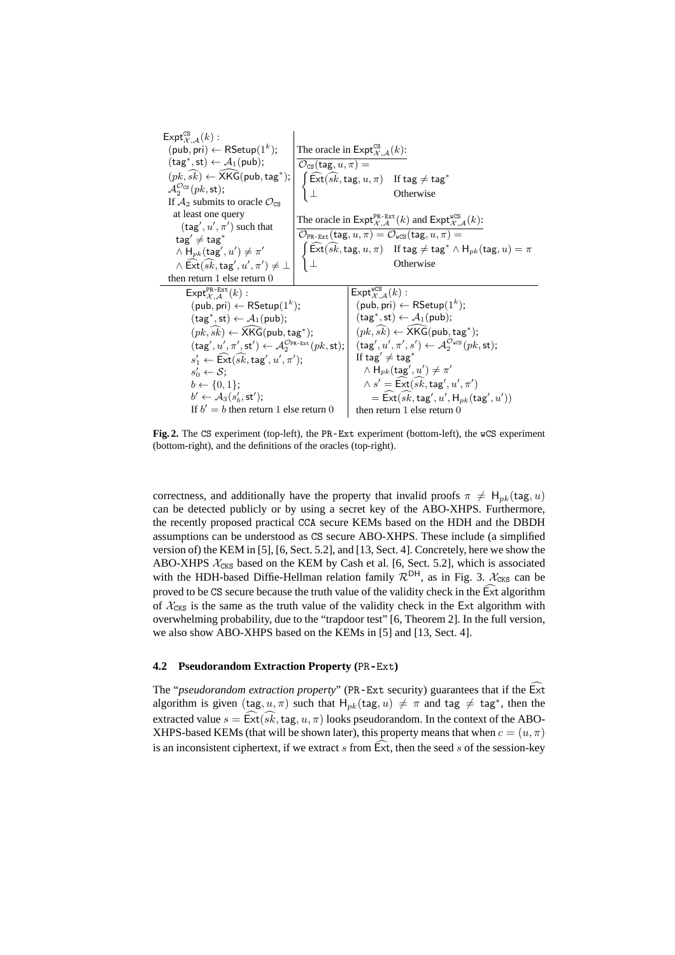| $\mathsf{Expt}_{\mathcal{X},\mathcal{A}}^{\mathsf{CS}}(k):$                                     |                                                                                                                                                                                                                                                      |                                                                                                        |                                                     |  |
|-------------------------------------------------------------------------------------------------|------------------------------------------------------------------------------------------------------------------------------------------------------------------------------------------------------------------------------------------------------|--------------------------------------------------------------------------------------------------------|-----------------------------------------------------|--|
| $(\mathsf{pub}, \mathsf{pri}) \leftarrow \mathsf{RSetup}(1^k);$                                 | The oracle in $\text{Expt}_{\mathcal{X}, A}^{\text{CS}}(k)$ :                                                                                                                                                                                        |                                                                                                        |                                                     |  |
| $(tag^*, st) \leftarrow \mathcal{A}_1(\text{pub});$                                             | $\mathcal{O}_{\text{CS}}(\text{tag}, u, \pi) =$                                                                                                                                                                                                      |                                                                                                        |                                                     |  |
| $(pk, sk) \leftarrow \mathsf{XKG}(\mathsf{pub}, \mathsf{tag}^*)$ ;                              | $\begin{cases} \widehat{\mathsf{Ext}}(\widehat{sk},\mathsf{tag},u,\pi) & \text{If } \mathsf{tag} \neq \mathsf{tag}^* \end{cases}$                                                                                                                    |                                                                                                        |                                                     |  |
| $\mathcal{A}_2^{\text{Ccs}}(pk, \text{st})$ ;                                                   |                                                                                                                                                                                                                                                      |                                                                                                        | Otherwise                                           |  |
| If $A_2$ submits to oracle $\mathcal{O}_{\text{cs}}$                                            |                                                                                                                                                                                                                                                      |                                                                                                        |                                                     |  |
| at least one query                                                                              | The oracle in $\text{Expt}_{\mathcal{X},\mathcal{A}}^{\text{PR-Ext}}(k)$ and $\text{Expt}_{\mathcal{X},\mathcal{A}}^{\text{wCS}}(k)$ :<br>$\mathcal{O}_{\texttt{PR-Ext}}(\texttt{tag}, u, \pi) = \mathcal{O}_{\texttt{WCS}}(\texttt{tag}, u, \pi) =$ |                                                                                                        |                                                     |  |
| $(\textsf{tag}', u', \pi')$ such that                                                           |                                                                                                                                                                                                                                                      |                                                                                                        |                                                     |  |
| $\text{tag}' \neq \text{tag}^*$                                                                 | $\int \text{Ext}(sk, \text{tag}, u, \pi)$ If tag $\neq$ tag <sup>*</sup> $\wedge$ H <sub>pk</sub> (tag, u) = $\pi$                                                                                                                                   |                                                                                                        |                                                     |  |
| $\wedge$ H <sub>pk</sub> (tag', $u'$ ) $\neq \pi'$                                              |                                                                                                                                                                                                                                                      |                                                                                                        | Otherwise                                           |  |
| $\wedge$ Ext(sk, tag', u', $\pi'$ ) $\neq \bot$<br>then return 1 else return 0                  |                                                                                                                                                                                                                                                      |                                                                                                        |                                                     |  |
|                                                                                                 |                                                                                                                                                                                                                                                      |                                                                                                        |                                                     |  |
| $\mathsf{Expt}_{\mathcal{X} A}^{\text{PR-Ext}}(k):$                                             |                                                                                                                                                                                                                                                      | $\mathsf{Expt}^{\text{wCS}}_{\mathcal{X} A}(k)$ :                                                      |                                                     |  |
| $(\mathsf{pub}, \mathsf{pri}) \leftarrow \mathsf{RSetup}(1^k);$                                 |                                                                                                                                                                                                                                                      | $(\mathsf{pub}, \mathsf{pri}) \leftarrow \mathsf{RSetup}(1^k);$                                        |                                                     |  |
| $(tag^*, st) \leftarrow \mathcal{A}_1(\text{pub});$                                             |                                                                                                                                                                                                                                                      | $(tag^*, st) \leftarrow A_1(pub);$                                                                     |                                                     |  |
| $(pk, sk) \leftarrow \widehat{\mathsf{XKG}}(\mathsf{pub}, \mathsf{tag}^*)$                      |                                                                                                                                                                                                                                                      | $(pk, sk) \leftarrow$ XKG(pub, tag <sup>*</sup> );                                                     |                                                     |  |
| $(\text{tag}', u', \pi', \text{st}') \leftarrow \mathcal{A}_2^{\text{CPR-Ext}}(pk, \text{st});$ |                                                                                                                                                                                                                                                      | $(\textsf{tag}', u', \pi', s') \leftarrow \mathcal{A}^{\text{O}_{\textsf{wCS}}}_{2}(pk, \textsf{st});$ |                                                     |  |
| $s'_1 \leftarrow \textsf{Ext}(sk,\textsf{tag}',u',\pi');$                                       |                                                                                                                                                                                                                                                      | If tag' $\neq$ tag <sup>*</sup>                                                                        |                                                     |  |
| $s'_0 \leftarrow \mathcal{S}$                                                                   |                                                                                                                                                                                                                                                      | $\wedge$ H <sub>pk</sub> (tag', u') $\neq \pi'$                                                        |                                                     |  |
| $b \leftarrow \{0, 1\};$                                                                        |                                                                                                                                                                                                                                                      |                                                                                                        | $\wedge s' = \text{Ext}(sk, \text{tag}', u', \pi')$ |  |
| $b' \leftarrow A_3(s'_b, \mathsf{st}')$ :                                                       |                                                                                                                                                                                                                                                      |                                                                                                        | $=$ Ext(sk, tag', u', $H_{pk}$ (tag', u'))          |  |
| If $b' = b$ then return 1 else return 0                                                         |                                                                                                                                                                                                                                                      |                                                                                                        | then return 1 else return 0                         |  |

**Fig. 2.** The CS experiment (top-left), the PR-Ext experiment (bottom-left), the wCS experiment (bottom-right), and the definitions of the oracles (top-right).

correctness, and additionally have the property that invalid proofs  $\pi \neq H_{pk}(\text{tag}, u)$ can be detected publicly or by using a secret key of the ABO-XHPS. Furthermore, the recently proposed practical CCA secure KEMs based on the HDH and the DBDH assumptions can be understood as CS secure ABO-XHPS. These include (a simplified version of) the KEM in [5], [6, Sect. 5.2], and [13, Sect. 4]. Concretely, here we show the ABO-XHPS  $X_{CKS}$  based on the KEM by Cash et al. [6, Sect. 5.2], which is associated with the HDH-based Diffie-Hellman relation family  $\mathcal{R}^{DH}$ , as in Fig. 3.  $\mathcal{X}_{CKS}$  can be proved to be CS secure because the truth value of the validity check in the  $\overline{\mathsf{Ext}}$  algorithm of  $\mathcal{X}_{CKS}$  is the same as the truth value of the validity check in the Ext algorithm with overwhelming probability, due to the "trapdoor test" [6, Theorem 2]. In the full version, we also show ABO-XHPS based on the KEMs in [5] and [13, Sect. 4].

## **4.2 Pseudorandom Extraction Property (**PR**-**Ext**)**

The "*pseudorandom extraction property*" (PR-Ext security) guarantees that if the Ext c algorithm is given  $(\text{tag}, u, \pi)$  such that  $H_{pk}(\text{tag}, u) \neq \pi$  and tag  $\neq$  tag<sup>\*</sup>, then the extracted value  $s = \widehat{\text{Ext}}(\widehat{sk}, \text{tag}, u, \pi)$  looks pseudorandom. In the context of the ABO-XHPS-based KEMs (that will be shown later), this property means that when  $c = (u, \pi)$ is an inconsistent ciphertext, if we extract  $s$  from  $\overline{\mathsf{Ext}}$ , then the seed  $s$  of the session-key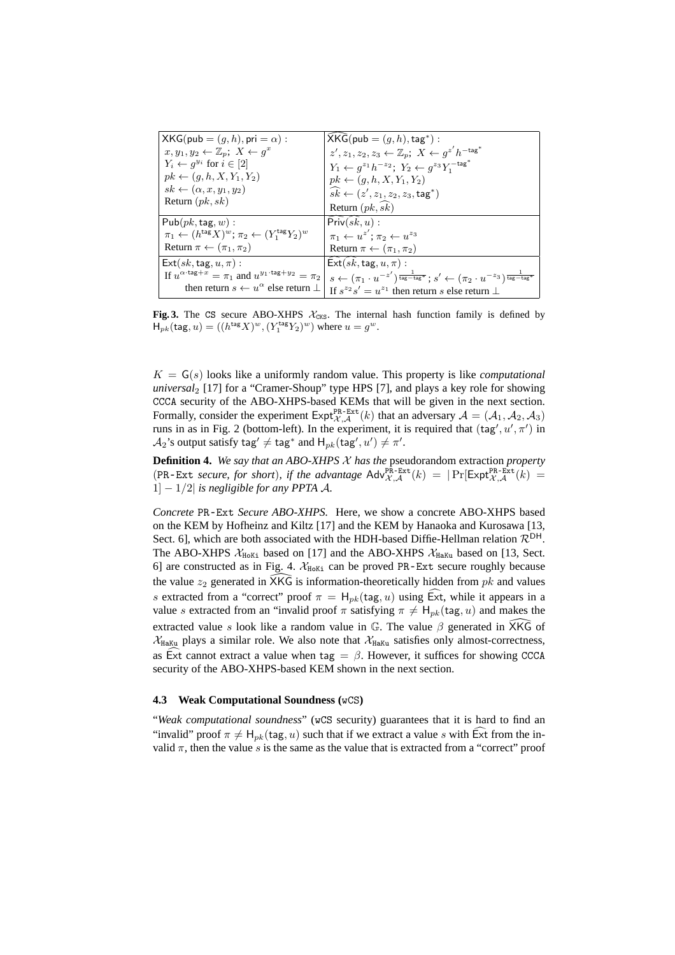| $XKG(pub = (q, h), pri = \alpha)$ :                                                | $\overline{\mathsf{XKG}}(\mathsf{pub}=(g,h),\mathsf{tag}^*)$ :                                                                                            |  |
|------------------------------------------------------------------------------------|-----------------------------------------------------------------------------------------------------------------------------------------------------------|--|
| $x, y_1, y_2 \leftarrow \mathbb{Z}_p$ ; $X \leftarrow q^x$                         | $z', z_1, z_2, z_3 \leftarrow \mathbb{Z}_p$ ; $X \leftarrow g^{z'} h^{-\text{tag}^*}$                                                                     |  |
| $Y_i \leftarrow g^{y_i}$ for $i \in [2]$                                           | $Y_1 \leftarrow q^{z_1} h^{-z_2}; Y_2 \leftarrow q^{z_3} Y_1^{-\text{tag}^*}$                                                                             |  |
| $pk \leftarrow (q, h, X, Y_1, Y_2)$                                                | $pk \leftarrow (g, h, X, Y_1, Y_2)$                                                                                                                       |  |
| $sk \leftarrow (\alpha, x, y_1, y_2)$                                              | $s\overline{k} \leftarrow (z', z_1, z_2, z_3, \textsf{tag}^*)$                                                                                            |  |
| Return $(pk, sk)$                                                                  | Return $(pk, sk)$                                                                                                                                         |  |
| $Pub(pk, tag, w)$ :                                                                | $Priv(sk, u)$ :                                                                                                                                           |  |
| $\pi_1 \leftarrow (h^{\text{tag}} X)^w; \pi_2 \leftarrow (Y_1^{\text{tag}} Y_2)^w$ | $\pi_1 \leftarrow u^{z'} : \pi_2 \leftarrow u^{z_3}$                                                                                                      |  |
| Return $\pi \leftarrow (\pi_1, \pi_2)$                                             | Return $\pi \leftarrow (\pi_1, \pi_2)$                                                                                                                    |  |
| $Ext(sk, tag, u, \pi):$                                                            | $\widehat{\mathsf{Ext}}(sk,\mathsf{tag},u,\pi):$                                                                                                          |  |
| If $u^{\alpha \cdot \tan x} = \pi_1$ and $u^{y_1 \cdot \tan x} = \pi_2$            | $s \leftarrow (\pi_1 \cdot u^{-z'})^{\frac{1}{\text{tag} - \text{tag} *}}$ ; $s' \leftarrow (\pi_2 \cdot u^{-z_3})^{\frac{1}{\text{tag} - \text{tag} *}}$ |  |
| then return $s \leftarrow u^{\alpha}$ else return $\perp$                          | If $s^{z_2}s' = u^{z_1}$ then return s else return $\perp$                                                                                                |  |

**Fig. 3.** The CS secure ABO-XHPS  $\mathcal{X}_{\text{CKS}}$ . The internal hash function family is defined by  $H_{pk}(\text{tag}, u) = ((h^{\text{tag}}X)^w, (Y_1^{\text{tag}}Y_2)^w)$  where  $u = g^w$ .

 $K = G(s)$  looks like a uniformly random value. This property is like *computational universal*<sup>2</sup> [17] for a "Cramer-Shoup" type HPS [7], and plays a key role for showing CCCA security of the ABO-XHPS-based KEMs that will be given in the next section. Formally, consider the experiment  $\text{Expt}_{\mathcal{X},\mathcal{A}}^{\text{PR-Ext}}(k)$  that an adversary  $\mathcal{A} = (\mathcal{A}_1, \mathcal{A}_2, \mathcal{A}_3)$ runs in as in Fig. 2 (bottom-left). In the experiment, it is required that  $(\text{tag}', u', \pi')$  in  $\mathcal{A}_2$ 's output satisfy tag′  $\neq$  tag\* and  $\mathsf{H}_{pk}(\mathsf{tag}', u') \neq \pi'.$ 

**Definition 4.** *We say that an ABO-XHPS X has the* pseudorandom extraction *property*  $(\text{PR-Ext} \text{ secure}, \text{ for short}), \text{ if the advantage } \text{Adv}^{\text{PR-Ext}}(k) = |\Pr[\text{Expt}_{\mathcal{X},\mathcal{A}}^{\text{PR-Ext}}(k)] = \text{Adv}^{\text{PR-Ext}}(k)$ 1] *−* 1*/*2*| is negligible for any PPTA A.*

*Concrete* PR-Ext *Secure ABO-XHPS.* Here, we show a concrete ABO-XHPS based on the KEM by Hofheinz and Kiltz [17] and the KEM by Hanaoka and Kurosawa [13, Sect. 6], which are both associated with the HDH-based Diffie-Hellman relation  $\mathcal{R}^{DH}$ . The ABO-XHPS  $\mathcal{X}_{\text{Hoki}}$  based on [17] and the ABO-XHPS  $\mathcal{X}_{\text{Haki}}$  based on [13, Sect. 6] are constructed as in Fig. 4.  $X_{\text{Hoki}}$  can be proved PR-Ext secure roughly because the value  $z_2$  generated in XKG is information-theoretically hidden from  $pk$  and values *s* extracted from a "correct" proof  $\pi = H_{pk}(\text{tag}, u)$  using Ext, while it appears in a value *s* extracted from an "invalid proof  $\pi$  satisfying  $\pi \neq H_{pk}(\text{tag}, u)$  and makes the extracted value *s* look like a random value in  $\mathbb{G}$ . The value  $\beta$  generated in  $\widehat{\mathsf{XKG}}$  of  $X_{\text{Haku}}$  plays a similar role. We also note that  $X_{\text{Haku}}$  satisfies only almost-correctness, as Ext cannot extract a value when tag =  $\beta$ . However, it suffices for showing CCCA security of the ABO-XHPS-based KEM shown in the next section.

#### **4.3 Weak Computational Soundness (**wCS**)**

"*Weak computational soundness*" (wCS security) guarantees that it is hard to find an "invalid" proof  $\pi \neq H_{nk}(\text{tag}, u)$  such that if we extract a value *s* with Ext from the invalid  $\pi$ , then the value *s* is the same as the value that is extracted from a "correct" proof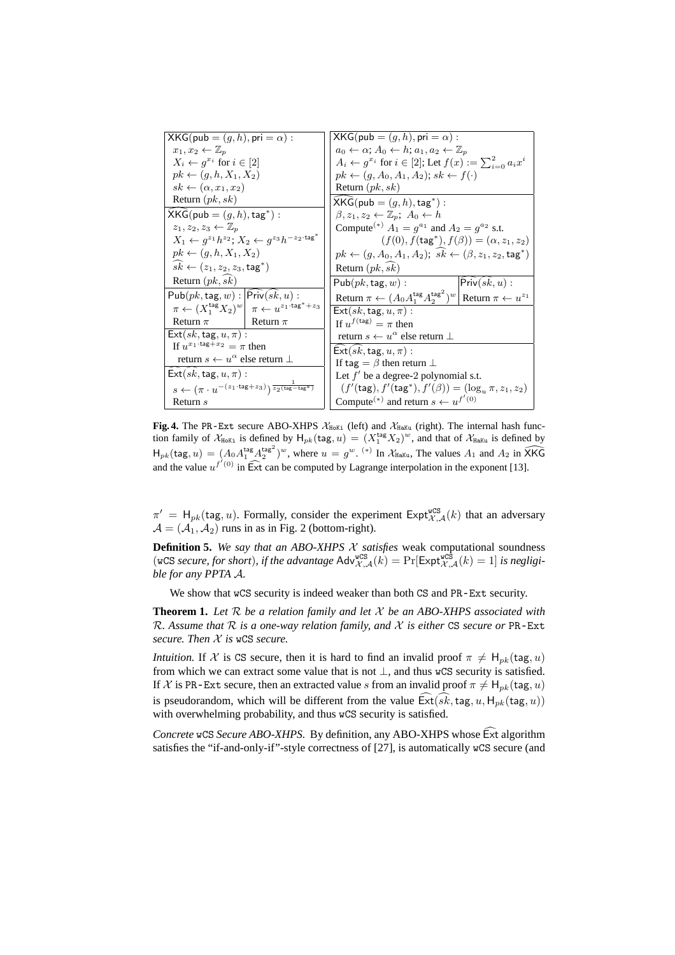| $\mathsf{XKG}(\mathsf{pub}=(g,h),\mathsf{pri}=\alpha):$                                                 | $XKG(pub = (q, h), pri = \alpha)$ :                                                                |  |  |
|---------------------------------------------------------------------------------------------------------|----------------------------------------------------------------------------------------------------|--|--|
| $x_1, x_2 \leftarrow \mathbb{Z}_p$                                                                      | $a_0 \leftarrow \alpha$ ; $A_0 \leftarrow h$ ; $a_1, a_2 \leftarrow \mathbb{Z}_p$                  |  |  |
| $X_i \leftarrow q^{x_i}$ for $i \in [2]$                                                                | $A_i \leftarrow g^{x_i}$ for $i \in [2]$ ; Let $f(x) := \sum_{i=0}^{2} a_i x^i$                    |  |  |
| $pk \leftarrow (q, h, X_1, X_2)$                                                                        | $pk \leftarrow (q, A_0, A_1, A_2); sk \leftarrow f(\cdot)$                                         |  |  |
| $sk \leftarrow (\alpha, x_1, x_2)$                                                                      | Return $(pk, sk)$                                                                                  |  |  |
| Return $(pk, sk)$                                                                                       | $XKG(pub = (g, h), tag^*)$ :                                                                       |  |  |
| $XKG(pub = (g, h), tag^*)$ :                                                                            | $\beta, z_1, z_2 \leftarrow \mathbb{Z}_p$ ; $A_0 \leftarrow h$                                     |  |  |
| $z_1, z_2, z_3 \leftarrow \mathbb{Z}_p$                                                                 | Compute <sup>(*)</sup> $A_1 = g^{a_1}$ and $A_2 = g^{a_2}$ s.t.                                    |  |  |
| $X_1 \leftarrow g^{z_1}h^{z_2}; X_2 \leftarrow g^{z_3}h^{-z_2 \cdot \text{tag}^*}$                      | $(f(0), f(\text{tag}^*), f(\beta)) = (\alpha, z_1, z_2)$                                           |  |  |
| $pk \leftarrow (g, h, X_1, X_2)$                                                                        | $pk \leftarrow (g, A_0, A_1, A_2); \; sk \leftarrow (\beta, z_1, z_2, \text{tag}^*)$               |  |  |
| $sk \leftarrow (z_1, z_2, z_3, \textsf{tag}^*)$                                                         | Return $(pk, sk)$                                                                                  |  |  |
| Return $(pk, sk)$                                                                                       | $\overline{\mathsf{Priv}(sk, u)}$ :<br>$Pub(pk, tag, w)$ :                                         |  |  |
| Pub(pk, tag, w) :  Priv(sk, u) :                                                                        | Return $\pi \leftarrow (A_0 A_1^{\text{tag}} A_2^{\text{tag}2})^w$ Return $\pi \leftarrow u^{z_1}$ |  |  |
| $\pi \leftarrow (X_1^{\text{tag}} X_2)^w \mid \pi \leftarrow u^{z_1 \cdot \text{tag}^* + z_3}$          | $\mathsf{Ext}(sk,\mathsf{tag},u,\pi):$                                                             |  |  |
| Return $\pi$<br>Return $\pi$                                                                            | If $u^{f(\text{tag})} = \pi$ then                                                                  |  |  |
| $\mathsf{Ext}(sk,\mathsf{tag},u,\pi):$                                                                  | return $s \leftarrow u^{\alpha}$ else return $\perp$                                               |  |  |
| If $u^{x_1 \cdot \tan x_2} = \pi$ then                                                                  | $Ext(sk, tag, u, \pi):$                                                                            |  |  |
| return $s \leftarrow u^{\alpha}$ else return $\perp$                                                    | If tag = $\beta$ then return $\perp$                                                               |  |  |
| $Ext(sk, tag, u, \pi):$                                                                                 | Let $f'$ be a degree-2 polynomial s.t.                                                             |  |  |
| $s \leftarrow (\pi \cdot u^{-(z_1 \cdot \text{tag} + z_3)})^{\frac{1}{z_2(\text{tag} - \text{tag} *)}}$ | $(f'(\mathsf{tag}), f'(\mathsf{tag}^*), f'(\beta)) = (\log_u \pi, z_1, z_2)$                       |  |  |
| Return $s$                                                                                              | Compute <sup>(*)</sup> and return $s \leftarrow u^{f'(0)}$                                         |  |  |

**Fig. 4.** The PR-Ext secure ABO-XHPS  $\mathcal{X}_{HoKi}$  (left) and  $\mathcal{X}_{HaKu}$  (right). The internal hash function family of  $\chi_{Hok1}$  is defined by  $H_{pk}(\text{tag}, u) = (X_1^{\text{tag}} X_2)^w$ , and that of  $\chi_{Haku}$  is defined by  $H_{pk}(\text{tag}, u) = (A_0 A_1^{\text{tag}} A_2^{\text{tag}})^w$ , where  $u = g^w$ . <sup>(\*)</sup> In  $\mathcal{X}_{\text{Haku}}$ , The values  $A_1$  and  $A_2$  in  $\widehat{\text{XKG}}$ and the value  $u^{f'(0)}$  in  $\widehat{\text{Ext}}$  can be computed by Lagrange interpolation in the exponent [13].

 $\pi' = H_{pk}(\text{tag}, u)$ . Formally, consider the experiment  $\text{Expt}_{\mathcal{X}, \mathcal{A}}^{\text{wCS}}(k)$  that an adversary  $A = (A_1, A_2)$  runs in as in Fig. 2 (bottom-right).

**Definition 5.** *We say that an ABO-XHPS X satisfies* weak computational soundness  $(wCS \, secure, for short), if the advantage  $Adv_{\mathcal{X},\mathcal{A}}^{\text{wCS}}(k) = \Pr[Expt_{\mathcal{X},\mathcal{A}}^{\text{wCS}}(k) = 1]$  *is negligi*$ *ble for any PPTA A.*

We show that wCS security is indeed weaker than both CS and PR-Ext security.

**Theorem 1.** *Let R be a relation family and let X be an ABO-XHPS associated with R. Assume that R is a one-way relation family, and X is either* CS *secure or* PR-Ext *secure. Then X is* wCS *secure.*

*Intuition.* If *X* is CS secure, then it is hard to find an invalid proof  $\pi \neq H_{pk}(\text{tag}, u)$ from which we can extract some value that is not *⊥*, and thus wCS security is satisfied. If *X* is PR-Ext secure, then an extracted value *s* from an invalid proof  $\pi \neq H_{pk}(\text{tag}, u)$ is pseudorandom, which will be different from the value  $\widetilde{\mathsf{Ext}}(\widehat{sk}, \mathsf{tag}, u, \mathsf{H}_{pk}(\mathsf{tag}, u))$ with overwhelming probability, and thus wCS security is satisfied.

*Concrete* wCS Secure ABO-XHPS. By definition, any ABO-XHPS whose Ext algorithm satisfies the "if-and-only-if"-style correctness of [27], is automatically wCS secure (and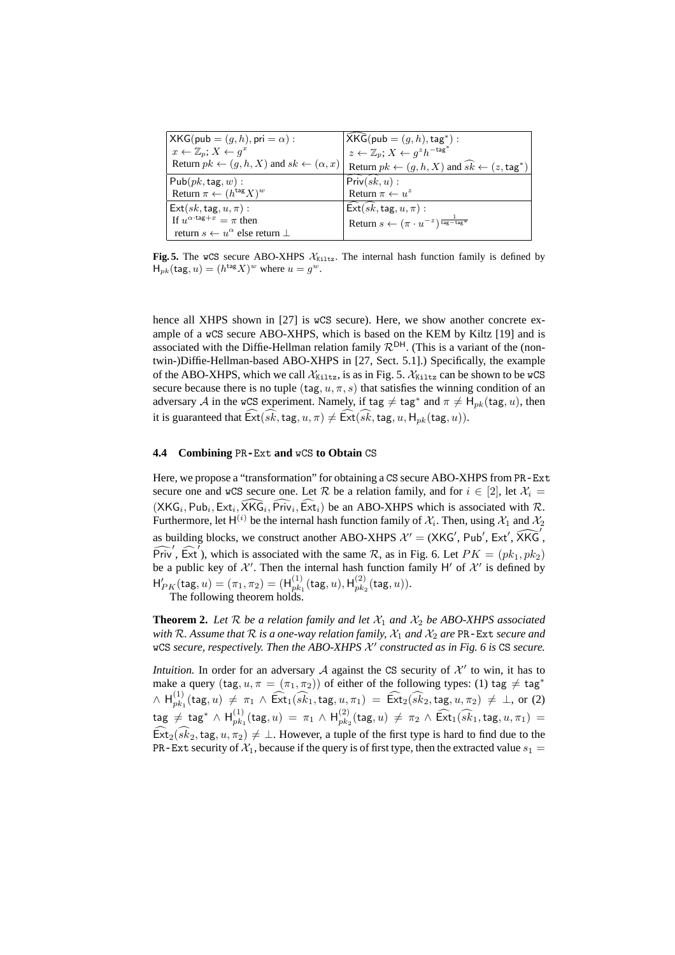| $XKG(pub = (q, h), pri = \alpha)$ :                  |                                                                                                                                            |
|------------------------------------------------------|--------------------------------------------------------------------------------------------------------------------------------------------|
| $x \leftarrow \mathbb{Z}_n$ ; $X \leftarrow q^x$     | $\widehat{X}$ K $\widehat{G}$ (pub = $(g, h)$ , tag <sup>*</sup> ) :<br>$z \leftarrow \mathbb{Z}_p$ ; $X \leftarrow g^z h^{-\text{tag*}}$  |
|                                                      | Return $pk \leftarrow (g, h, X)$ and $sk \leftarrow (\alpha, x)$ Return $pk \leftarrow (g, h, X)$ and $\widehat{sk} \leftarrow (z, tag^*)$ |
| $Pub(pk, tag, w)$ :                                  | $Priv(sk, u)$ :                                                                                                                            |
| Return $\pi \leftarrow (h^{\text{tag}} X)^w$         | Return $\pi \leftarrow u^z$                                                                                                                |
| $Ext(sk, tag, u, \pi):$                              | $\widetilde{\mathsf{Ext}}(sk,\mathsf{tag},u,\pi):$                                                                                         |
| If $u^{\alpha \cdot \tan x} = \pi$ then              | Return $s \leftarrow (\pi \cdot u^{-z})^{\frac{1}{\text{tag} - \text{tag*}}}$                                                              |
| return $s \leftarrow u^{\alpha}$ else return $\perp$ |                                                                                                                                            |

**Fig. 5.** The wCS secure ABO-XHPS  $X_{\text{Kiltz}}$ . The internal hash function family is defined by  $H_{pk}(\text{tag}, u) = (h^{\text{tag}}X)^w$  where  $u = g^w$ .

hence all XHPS shown in [27] is wCS secure). Here, we show another concrete example of a wCS secure ABO-XHPS, which is based on the KEM by Kiltz [19] and is associated with the Diffie-Hellman relation family  $\mathcal{R}^{DH}$ . (This is a variant of the (nontwin-)Diffie-Hellman-based ABO-XHPS in [27, Sect. 5.1].) Specifically, the example of the ABO-XHPS, which we call  $\mathcal{X}_{\text{Kiltz}}$ , is as in Fig. 5.  $\mathcal{X}_{\text{Kiltz}}$  can be shown to be wCS secure because there is no tuple  $(\text{tag}, u, \pi, s)$  that satisfies the winning condition of an adversary  ${\cal A}$  in the wCS experiment. Namely, if tag  $\neq$  tag\* and  $\pi\neq {\sf H}_{pk}({\sf tag}, u)$ , then it is guaranteed that  $\widehat{\mathsf{Ext}}(\widehat{sk}, \mathsf{tag}, u, \pi) \neq \widehat{\mathsf{Ext}}(\widehat{sk}, \mathsf{tag}, u, \mathsf{H}_{pk}(\mathsf{tag}, u)).$ 

## **4.4 Combining** PR**-**Ext **and** wCS **to Obtain** CS

Here, we propose a "transformation" for obtaining a CS secure ABO-XHPS from PR-Ext secure one and wCS secure one. Let R be a relation family, and for  $i \in [2]$ , let  $\mathcal{X}_i =$  $(XKG_i, Pub_i, Ext_i, \overline{XKG_i}, \overline{Priv}_i, \overline{Ext}_i)$  be an ABO-XHPS which is associated with  $\mathcal{R}$ . Furthermore, let  $H^{(i)}$  be the internal hash function family of  $\mathcal{X}_i$ . Then, using  $\mathcal{X}_1$  and  $\mathcal{X}_2$ as building blocks, we construct another ABO-XHPS  $\mathcal{X}' = (\mathsf{XKG}', \mathsf{Pub}', \mathsf{Ext}', \widetilde{\mathsf{XKG}}', \widetilde{\mathsf{ZKG}}')$  $\widehat{\text{Priv}}$ ,  $\widehat{\text{Ext}}'$ ), which is associated with the same *R*, as in Fig. 6. Let  $PK = (pk_1, pk_2)$ be a public key of  $\mathcal{X}'$ . Then the internal hash function family  $H'$  of  $\mathcal{X}'$  is defined by  $\mathsf{H}_{PK}'(\mathsf{tag},u)=(\pi_1,\pi_2)=(\mathsf{H}_{pk_1}^{(1)})$  $\frac{(1)}{pk_1}(\mathsf{tag},u), \mathsf{H}^{(2)}_{pk_2}$  $p_{k_2}^{(2)}(\text{tag},u)).$ 

The following theorem holds.

**Theorem 2.** Let  $R$  be a relation family and let  $X_1$  and  $X_2$  be ABO-XHPS associated *with*  $R$ *. Assume that*  $R$  *is a one-way relation family,*  $X_1$  *and*  $X_2$  *are*  $PR$ - $Ext$  *secure and* wCS *secure, respectively. Then the ABO-XHPS X ′ constructed as in Fig. 6 is* CS *secure.*

*Intuition.* In order for an adversary A against the CS security of  $X'$  to win, it has to make a query (tag,  $u, \pi = (\pi_1, \pi_2)$ ) of either of the following types: (1) tag  $\neq$  tag<sup>\*</sup>  $\wedge$  H $_{nk_1}^{(1)}$  $p_{k_1}^{(1)}$  (tag*, u*)  $\neq \pi_1 \land \text{Ext}_1(sk_1, \text{tag}, u, \pi_1) = \text{Ext}_2(sk_2, \text{tag}, u, \pi_2) \neq \bot$ , or (2)  $\mathsf{tag} \neq \mathsf{tag}^* \wedge \mathsf{H}_{nk_1}^{(1)}$  $\frac{(1)}{pk_1}(\textsf{tag},u) \ = \ \pi_1 \ \wedge \ \textsf{H}^{(2)}_{pk_2}$  $p_{k_2}^{(2)}$ (tag*, u*) ≠  $π_2$  ∧ Ext<sub>1</sub>( $sk_1$ , tag*, u, π*<sub>1</sub>) =  $\widehat{\mathsf{Ext}}_2(\widehat{sk}_2,\mathsf{tag},u,\pi_2) \neq \bot$ . However, a tuple of the first type is hard to find due to the PR-Ext security of  $\mathcal{X}_1$ , because if the query is of first type, then the extracted value  $s_1$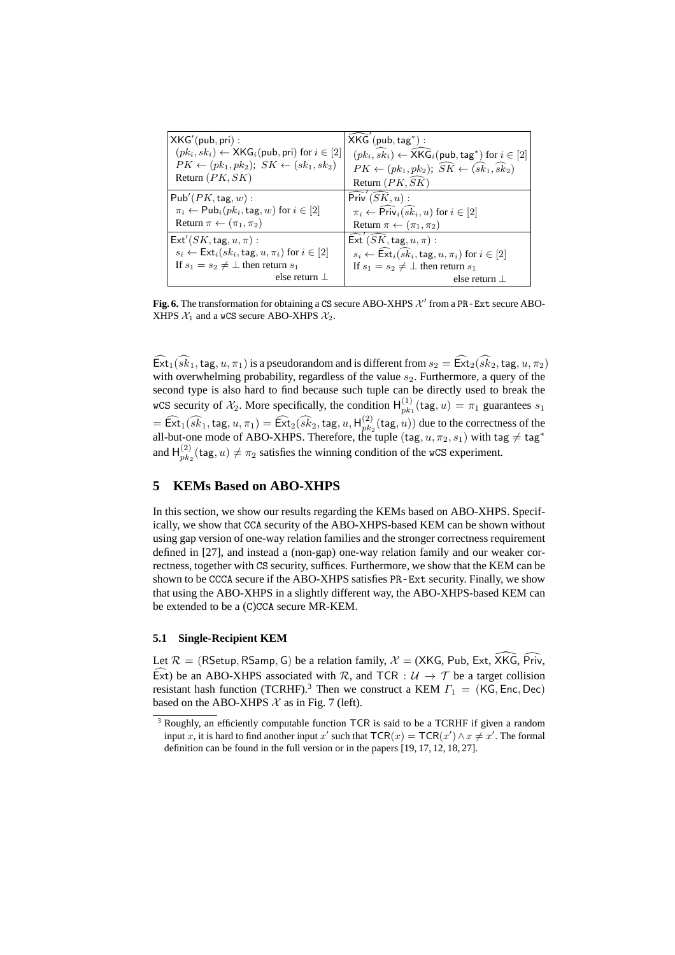| $XKG'(pub, pri)$ :                                                                   | $XKG$ (pub, tag <sup>*</sup> ) :                                                                                                                |  |
|--------------------------------------------------------------------------------------|-------------------------------------------------------------------------------------------------------------------------------------------------|--|
| $(pk_i, sk_i) \leftarrow \mathsf{XKG}_i(\mathsf{pub}, \mathsf{pri})$ for $i \in [2]$ | $(pk_i, \widehat{sk_i}) \leftarrow \widehat{\mathsf{X}} \mathsf{K} \widehat{\mathsf{G}}_i(\mathsf{pub}, \mathsf{tag}^*) \text{ for } i \in [2]$ |  |
| $PK \leftarrow (pk_1, pk_2); SK \leftarrow (sk_1, sk_2)$                             | $PK \leftarrow (pk_1, pk_2); \ \widehat{SK} \leftarrow (\widehat{sk_1}, \widehat{sk_2})$                                                        |  |
| Return $(PK, SK)$                                                                    | Return $(PK, \overline{S}\overline{K})$                                                                                                         |  |
| $Pub'(PK, tag, w)$ :                                                                 | $\widetilde{\mathsf{Priv}}'(\widehat{S}\widehat{K}, u)$ :                                                                                       |  |
| $\pi_i \leftarrow \mathsf{Pub}_i(pk_i, \texttt{tag}, w)$ for $i \in [2]$             | $\pi_i \leftarrow \widehat{\text{Priv}}_i(\widehat{sk_i}, u) \text{ for } i \in [2]$                                                            |  |
| Return $\pi \leftarrow (\pi_1, \pi_2)$                                               | Return $\pi \leftarrow (\pi_1, \pi_2)$                                                                                                          |  |
| $Ext'(SK, tag, u, \pi):$                                                             | $\widehat{\mathsf{Ext}}'(\widehat{SK},\mathsf{tag},u,\pi):$                                                                                     |  |
| $s_i \leftarrow \textsf{Ext}_i(sk_i, \textsf{tag}, u, \pi_i)$ for $i \in [2]$        | $s_i \leftarrow \widehat{\mathsf{Ext}}_i(\widehat{sk}_i, \mathsf{tag}, u, \pi_i)$ for $i \in [2]$                                               |  |
| If $s_1 = s_2 \neq \perp$ then return $s_1$                                          | If $s_1 = s_2 \neq \perp$ then return $s_1$                                                                                                     |  |
| else return $\perp$                                                                  | else return $\perp$                                                                                                                             |  |

**Fig. 6.** The transformation for obtaining a CS secure ABO-XHPS *X ′* from a PR-Ext secure ABO-XHPS  $\mathcal{X}_1$  and a wCS secure ABO-XHPS  $\mathcal{X}_2$ .

 $\widehat{\text{Ext}}_1(\widehat{sk}_1, \text{tag}, u, \pi_1)$  is a pseudorandom and is different from  $s_2 = \widehat{\text{Ext}}_2(\widehat{sk}_2, \text{tag}, u, \pi_2)$ with overwhelming probability, regardless of the value  $s_2$ . Furthermore, a query of the second type is also hard to find because such tuple can be directly used to break the wCS security of  $\mathcal{X}_2$ . More specifically, the condition  $H_{nk}^{(1)}$  $p_{k_1}^{(1)}$ (tag,  $u$ ) =  $\pi_1$  guarantees  $s_1$  $=\widehat{\mathsf{Ext}}_1(\widehat{sk}_1,\mathsf{tag},u,\pi_1)=\widehat{\mathsf{Ext}}_2(\widehat{sk}_2,\mathsf{tag},u,\mathsf{H}^{(2)}_{pk_2})$  $p_{k_2}^{(2)}$  (tag,  $u$ )) due to the correctness of the all-but-one mode of ABO-XHPS. Therefore, the tuple  $(\textsf{tag}, u, \pi_2, s_1)$  with  $\textsf{tag} \neq \textsf{tag}^*$ and  $H_{nk}^{(2)}$  $p_{pk_2}^{(2)}$  (tag,  $u$ )  $\neq \pi_2$  satisfies the winning condition of the wCS experiment.

## **5 KEMs Based on ABO-XHPS**

In this section, we show our results regarding the KEMs based on ABO-XHPS. Specifically, we show that CCA security of the ABO-XHPS-based KEM can be shown without using gap version of one-way relation families and the stronger correctness requirement defined in [27], and instead a (non-gap) one-way relation family and our weaker correctness, together with CS security, suffices. Furthermore, we show that the KEM can be shown to be CCCA secure if the ABO-XHPS satisfies PR-Ext security. Finally, we show that using the ABO-XHPS in a slightly different way, the ABO-XHPS-based KEM can be extended to be a (C)CCA secure MR-KEM.

## **5.1 Single-Recipient KEM**

Let  $\mathcal{R} = (R$ Setup, RSamp, G) be a relation family,  $\mathcal{X} = (XKG, Pub, Ext, \widetilde{XKG}, \widetilde{Priv},$ Ext) be an ABO-XHPS associated with *R*, and TCR :  $U \rightarrow \mathcal{T}$  be a target collision resistant hash function (TCRHF).<sup>3</sup> Then we construct a KEM  $\Gamma_1 = (K\overline{G}, \text{Enc}, \text{Dec})$ based on the ABO-XHPS  $\mathcal X$  as in Fig. 7 (left).

<sup>&</sup>lt;sup>3</sup> Roughly, an efficiently computable function TCR is said to be a TCRHF if given a random input *x*, it is hard to find another input *x'* such that  $\mathsf{TCR}(x) = \mathsf{TCR}(x') \land x \neq x'$ . The formal definition can be found in the full version or in the papers [19, 17, 12, 18, 27].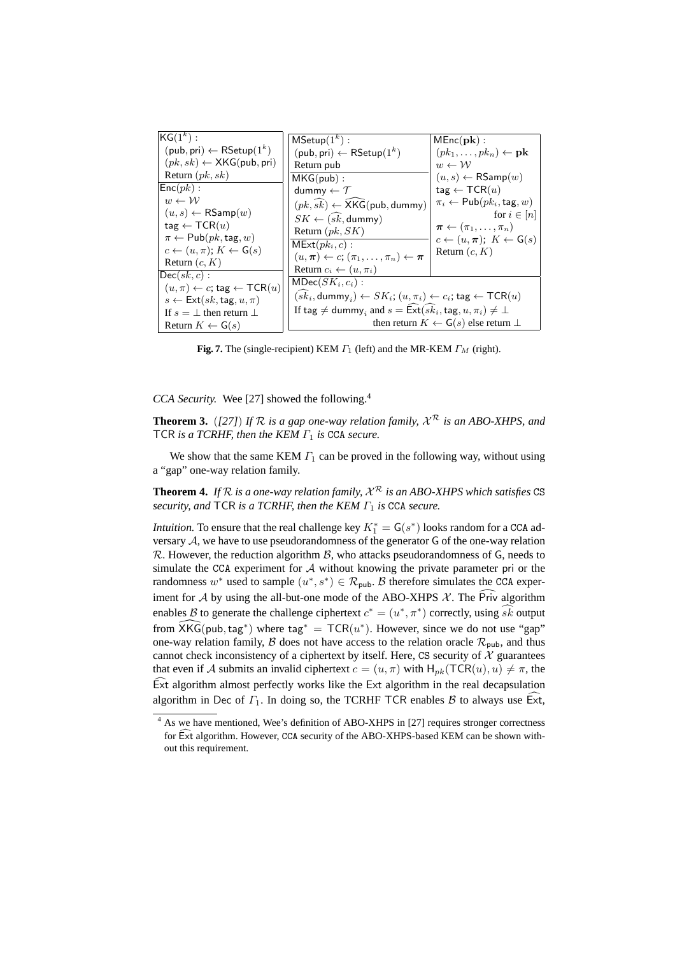| $KG(1^k):$<br>$(\mathsf{pub}, \mathsf{pri}) \leftarrow \mathsf{RSetup}(1^k)$<br>$(pk, sk) \leftarrow$ XKG(pub, pri)<br>Return $(pk, sk)$<br>$Enc(pk)$ :<br>$w \leftarrow W$<br>$(u, s) \leftarrow \mathsf{RSamp}(w)$<br>$\mathsf{tag} \leftarrow \mathsf{TCR}(u)$<br>$\pi \leftarrow \mathsf{Pub}(pk, \mathsf{tag}, w)$<br>$c \leftarrow (u, \pi); K \leftarrow \mathsf{G}(s)$<br>Return $(c, K)$<br>$Dec(sk, c)$ : | $MSetup(1^k):$<br>$(\mathsf{pub}, \mathsf{pri}) \leftarrow \mathsf{RSetup}(1^k)$<br>Return pub<br>$MKG(pub)$ :<br>dummy $\leftarrow$ $\mathcal{T}$<br>$(pk, \overline{sk}) \leftarrow \widehat{\mathsf{X}}\mathsf{KG}(\mathsf{pub}, \mathsf{dummy})$<br>$SK \leftarrow (sk, \text{dummy})$<br>Return $(pk, SK)$<br>$MExt(pk_i, c)$ :<br>$(u,\pi) \leftarrow c; (\pi_1,\ldots,\pi_n) \leftarrow \pi$<br>Return $c_i \leftarrow (u, \pi_i)$ | $MEnc(\mathbf{pk})$ :<br>$(pk_1, \ldots, pk_n) \leftarrow \mathbf{pk}$<br>$w \leftarrow W$<br>$(u, s) \leftarrow \mathsf{RSamp}(w)$<br>$\text{tag} \leftarrow \text{TCR}(u)$<br>$\pi_i \leftarrow \mathsf{Pub}(pk_i, \mathsf{tag}, w)$<br>for $i \in [n]$<br>$\boldsymbol{\pi} \leftarrow (\pi_1, \ldots, \pi_n)$<br>$c \leftarrow (u, \pi); K \leftarrow \mathsf{G}(s)$<br>Return $(c, K)$ |
|---------------------------------------------------------------------------------------------------------------------------------------------------------------------------------------------------------------------------------------------------------------------------------------------------------------------------------------------------------------------------------------------------------------------|-------------------------------------------------------------------------------------------------------------------------------------------------------------------------------------------------------------------------------------------------------------------------------------------------------------------------------------------------------------------------------------------------------------------------------------------|---------------------------------------------------------------------------------------------------------------------------------------------------------------------------------------------------------------------------------------------------------------------------------------------------------------------------------------------------------------------------------------------|
| $(u, \pi) \leftarrow c$ ; tag $\leftarrow \textsf{TCR}(u)$<br>$s \leftarrow \textsf{Ext}(sk,\textsf{tag},u,\pi)$<br>If $s = \perp$ then return $\perp$<br>Return $K \leftarrow G(s)$                                                                                                                                                                                                                                | $\mathsf{MDec}(SK_i, c_i):$<br>$(\overline{sk_i}, \text{dummy}_i) \leftarrow SK_i$ ; $(u, \pi_i) \leftarrow c_i$ ; tag $\leftarrow \textsf{TCR}(u)$<br>If tag $\neq$ dummy, and $s = \operatorname{Ext}(\widehat{sk}_i, \operatorname{tag}, u, \pi_i) \neq \perp$                                                                                                                                                                         | then return $K \leftarrow G(s)$ else return $\perp$                                                                                                                                                                                                                                                                                                                                         |

**Fig. 7.** The (single-recipient) KEM *Γ*<sup>1</sup> (left) and the MR-KEM *Γ<sup>M</sup>* (right).

*CCA Security.* Wee [27] showed the following.<sup>4</sup>

**Theorem 3.** ([27]) If  $R$  is a gap one-way relation family,  $\mathcal{X}^R$  is an ABO-XHPS, and TCR *is a TCRHF, then the KEM Γ*<sup>1</sup> *is* CCA *secure.*

We show that the same KEM  $\Gamma_1$  can be proved in the following way, without using a "gap" one-way relation family.

**Theorem 4.** If  $R$  is a one-way relation family,  $\mathcal{X}^{\mathcal{R}}$  is an ABO-XHPS which satisfies CS *security, and* TCR *is a TCRHF, then the KEM Γ*<sup>1</sup> *is* CCA *secure.*

*Intuition*. To ensure that the real challenge key  $K_1^* = G(s^*)$  looks random for a CCA adversary *A*, we have to use pseudorandomness of the generator G of the one-way relation *R*. However, the reduction algorithm *B*, who attacks pseudorandomness of G, needs to simulate the CCA experiment for *A* without knowing the private parameter pri or the *randomness*  $w^*$  used to sample  $(u^*, s^*)$  ∈  $\mathcal{R}_{\text{pub}}$ . *B* therefore simulates the CCA experiment for  $A$  by using the all-but-one mode of the ABO-XHPS  $\chi$ . The Priv algorithm enables *B* to generate the challenge ciphertext  $c^* = (u^*, \pi^*)$  correctly, using *sk* output from  $\widehat{\mathsf{X}}\mathsf{KG}(\mathsf{pub},\mathsf{tag}^*)$  where  $\mathsf{tag}^* = \mathsf{TCR}(u^*)$ . However, since we do not use "gap" one-way relation family, *B* does not have access to the relation oracle  $\mathcal{R}_{\text{pub}}$ , and thus cannot check inconsistency of a ciphertext by itself. Here, CS security of  $X$  guarantees that even if *A* submits an invalid ciphertext  $c = (u, \pi)$  with  $H_{pk}(TCR(u), u) \neq \pi$ , the  $\widetilde{\mathsf{Ext}}$  algorithm almost perfectly works like the Ext algorithm in the real decapsulation algorithm in Dec of  $\Gamma_1$ . In doing so, the TCRHF TCR enables  $\beta$  to always use Ext,

<sup>4</sup> As we have mentioned, Wee's definition of ABO-XHPS in [27] requires stronger correctness for Ext algorithm. However, CCA security of the ABO-XHPS-based KEM can be shown without this requirement.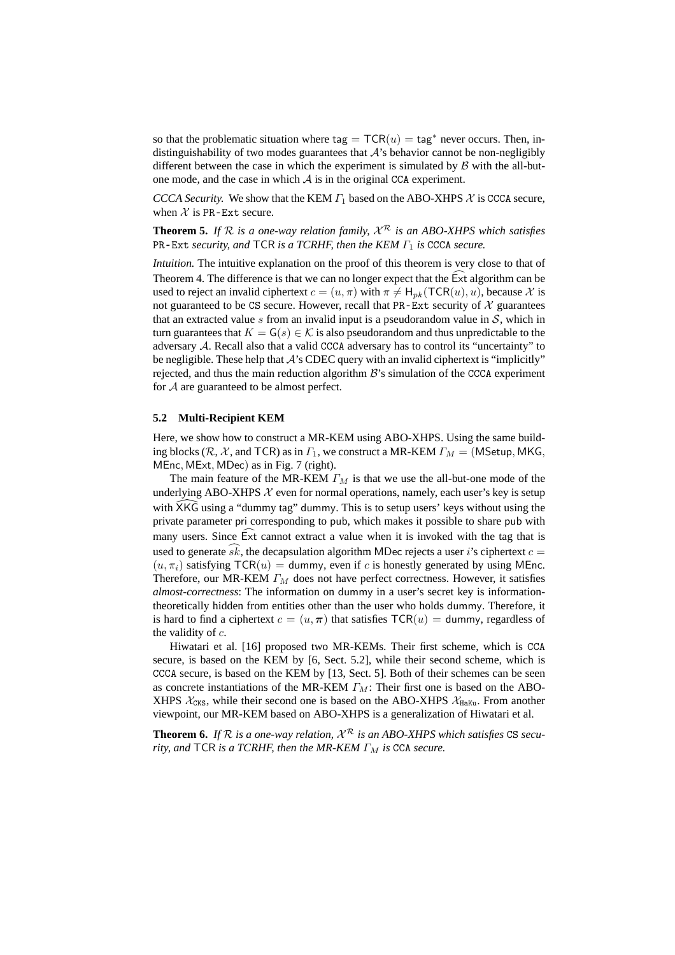so that the problematic situation where  $\text{tag} = \text{TCR}(u) = \text{tag}^*$  never occurs. Then, indistinguishability of two modes guarantees that *A*'s behavior cannot be non-negligibly different between the case in which the experiment is simulated by *B* with the all-butone mode, and the case in which *A* is in the original CCA experiment.

*CCCA Security.* We show that the KEM  $\Gamma_1$  based on the ABO-XHPS  $\mathcal X$  is CCCA secure, when  $X$  is PR-Ext secure.

**Theorem 5.** If  $\mathcal{R}$  *is a one-way relation family,*  $\mathcal{X}^{\mathcal{R}}$  *is an ABO-XHPS which satisfies* PR-Ext *security, and* TCR *is a TCRHF, then the KEM Γ*<sup>1</sup> *is* CCCA *secure.*

*Intuition*. The intuitive explanation on the proof of this theorem is very close to that of Theorem 4. The difference is that we can no longer expect that the  $\tilde{Ext}$  algorithm can be used to reject an invalid ciphertext  $c = (u, \pi)$  with  $\pi \neq H_{pk}(TCR(u), u)$ , because X is not guaranteed to be CS secure. However, recall that PR-Ext security of  $X$  guarantees that an extracted value  $s$  from an invalid input is a pseudorandom value in  $S$ , which in turn guarantees that  $K = G(s) \in \mathcal{K}$  is also pseudorandom and thus unpredictable to the adversary *A*. Recall also that a valid CCCA adversary has to control its "uncertainty" to be negligible. These help that *A*'s CDEC query with an invalid ciphertext is "implicitly" rejected, and thus the main reduction algorithm *B*'s simulation of the CCCA experiment for *A* are guaranteed to be almost perfect.

#### **5.2 Multi-Recipient KEM**

Here, we show how to construct a MR-KEM using ABO-XHPS. Using the same building blocks ( $\mathcal{R}, \mathcal{X}$ , and TCR) as in  $\Gamma_1$ , we construct a MR-KEM  $\Gamma_M = (M\text{Setup}, M\text{KG},$ MEnc*,* MExt*,* MDec) as in Fig. 7 (right).

The main feature of the MR-KEM *Γ<sup>M</sup>* is that we use the all-but-one mode of the underlying ABO-XHPS  $\mathcal X$  even for normal operations, namely, each user's key is setup with XKG using a "dummy tag" dummy. This is to setup users' keys without using the private parameter pri corresponding to pub, which makes it possible to share pub with many users. Since Ext cannot extract a value when it is invoked with the tag that is used to generate  $\widehat{sk}$ , the decapsulation algorithm MDec rejects a user *i*'s ciphertext  $c =$  $(u, \pi_i)$  satisfying  $TCR(u) =$  dummy, even if *c* is honestly generated by using MEnc. Therefore, our MR-KEM *Γ<sup>M</sup>* does not have perfect correctness. However, it satisfies *almost-correctness*: The information on dummy in a user's secret key is informationtheoretically hidden from entities other than the user who holds dummy. Therefore, it is hard to find a ciphertext  $c = (u, \pi)$  that satisfies  $TCR(u) =$  dummy, regardless of the validity of *c*.

Hiwatari et al. [16] proposed two MR-KEMs. Their first scheme, which is CCA secure, is based on the KEM by [6, Sect. 5.2], while their second scheme, which is CCCA secure, is based on the KEM by [13, Sect. 5]. Both of their schemes can be seen as concrete instantiations of the MR-KEM *ΓM*: Their first one is based on the ABO-XHPS  $\mathcal{X}_{CKS}$ , while their second one is based on the ABO-XHPS  $\mathcal{X}_{HaKu}$ . From another viewpoint, our MR-KEM based on ABO-XHPS is a generalization of Hiwatari et al.

**Theorem 6.** If  $R$  is a one-way relation,  $X^R$  is an ABO-XHPS which satisfies CS secu*rity, and* TCR *is a TCRHF, then the MR-KEM Γ<sup>M</sup> is* CCA *secure.*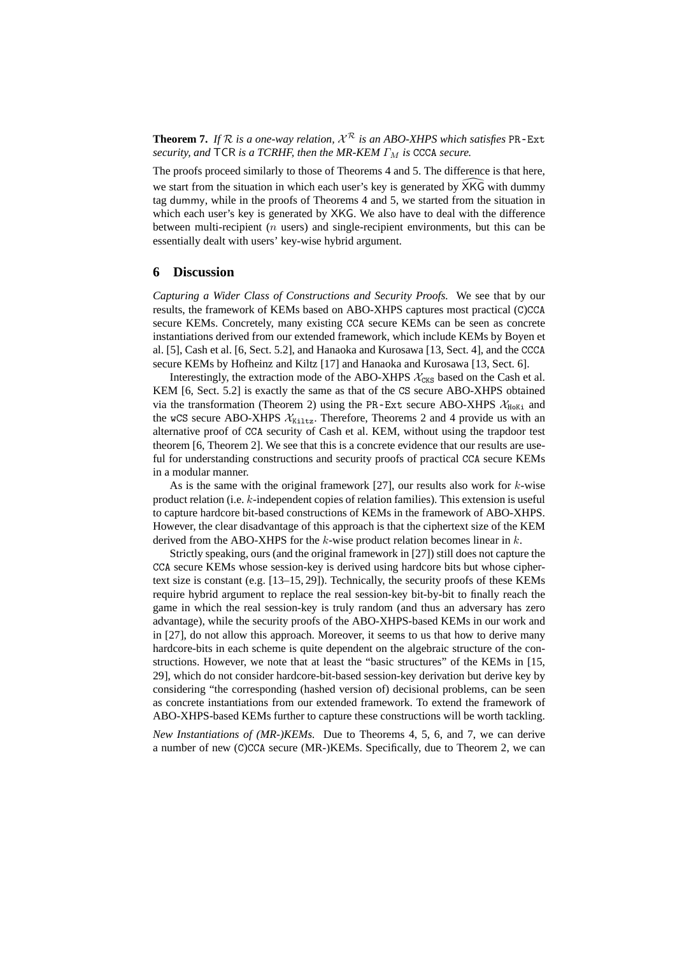**Theorem 7.** *If R is a one-way relation, X <sup>R</sup> is an ABO-XHPS which satisfies* PR-Ext *security, and* TCR *is a TCRHF, then the MR-KEM Γ<sup>M</sup> is* CCCA *secure.*

The proofs proceed similarly to those of Theorems 4 and 5. The difference is that here, we start from the situation in which each user's key is generated by  $\widetilde{\mathsf{X}}\mathsf{K}\widetilde{\mathsf{G}}$  with dummy tag dummy, while in the proofs of Theorems 4 and 5, we started from the situation in which each user's key is generated by XKG. We also have to deal with the difference between multi-recipient (*n* users) and single-recipient environments, but this can be essentially dealt with users' key-wise hybrid argument.

#### **6 Discussion**

*Capturing a Wider Class of Constructions and Security Proofs.* We see that by our results, the framework of KEMs based on ABO-XHPS captures most practical (C)CCA secure KEMs. Concretely, many existing CCA secure KEMs can be seen as concrete instantiations derived from our extended framework, which include KEMs by Boyen et al. [5], Cash et al. [6, Sect. 5.2], and Hanaoka and Kurosawa [13, Sect. 4], and the CCCA secure KEMs by Hofheinz and Kiltz [17] and Hanaoka and Kurosawa [13, Sect. 6].

Interestingly, the extraction mode of the ABO-XHPS  $\mathcal{X}_{CKS}$  based on the Cash et al. KEM [6, Sect. 5.2] is exactly the same as that of the CS secure ABO-XHPS obtained via the transformation (Theorem 2) using the PR-Ext secure ABO-XHPS  $\mathcal{X}_{\text{Hoki}}$  and the wCS secure ABO-XHPS  $X_{\text{Kiltz}}$ . Therefore, Theorems 2 and 4 provide us with an alternative proof of CCA security of Cash et al. KEM, without using the trapdoor test theorem [6, Theorem 2]. We see that this is a concrete evidence that our results are useful for understanding constructions and security proofs of practical CCA secure KEMs in a modular manner.

As is the same with the original framework [27], our results also work for *k*-wise product relation (i.e. *k*-independent copies of relation families). This extension is useful to capture hardcore bit-based constructions of KEMs in the framework of ABO-XHPS. However, the clear disadvantage of this approach is that the ciphertext size of the KEM derived from the ABO-XHPS for the *k*-wise product relation becomes linear in *k*.

Strictly speaking, ours (and the original framework in [27]) still does not capture the CCA secure KEMs whose session-key is derived using hardcore bits but whose ciphertext size is constant (e.g. [13–15, 29]). Technically, the security proofs of these KEMs require hybrid argument to replace the real session-key bit-by-bit to finally reach the game in which the real session-key is truly random (and thus an adversary has zero advantage), while the security proofs of the ABO-XHPS-based KEMs in our work and in [27], do not allow this approach. Moreover, it seems to us that how to derive many hardcore-bits in each scheme is quite dependent on the algebraic structure of the constructions. However, we note that at least the "basic structures" of the KEMs in [15, 29], which do not consider hardcore-bit-based session-key derivation but derive key by considering "the corresponding (hashed version of) decisional problems, can be seen as concrete instantiations from our extended framework. To extend the framework of ABO-XHPS-based KEMs further to capture these constructions will be worth tackling.

*New Instantiations of (MR-)KEMs.* Due to Theorems 4, 5, 6, and 7, we can derive a number of new (C)CCA secure (MR-)KEMs. Specifically, due to Theorem 2, we can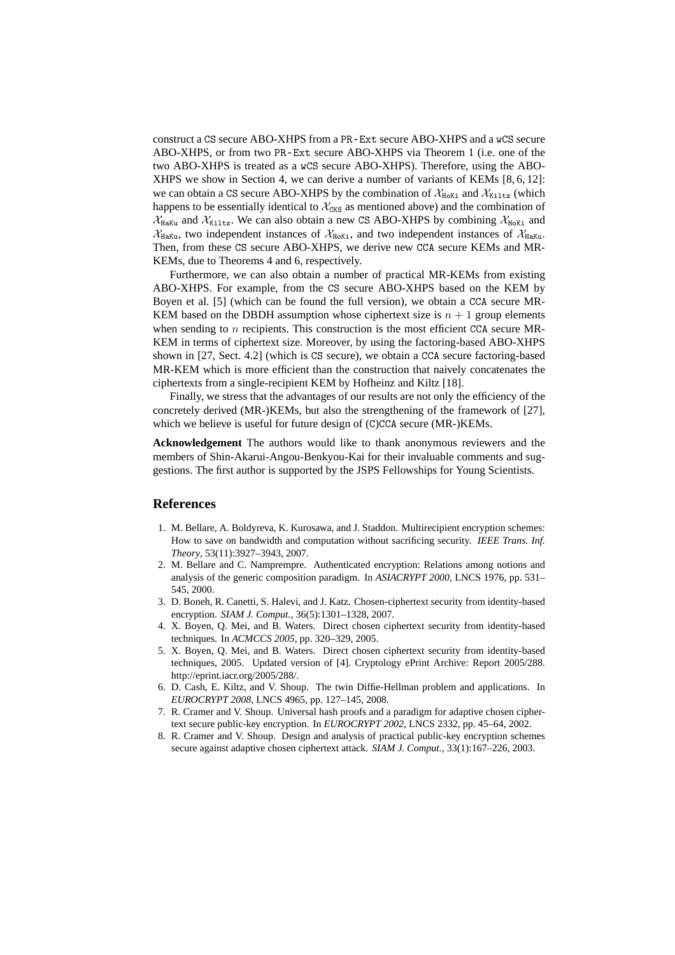construct a CS secure ABO-XHPS from a PR-Ext secure ABO-XHPS and a wCS secure ABO-XHPS, or from two PR-Ext secure ABO-XHPS via Theorem 1 (i.e. one of the two ABO-XHPS is treated as a wCS secure ABO-XHPS). Therefore, using the ABO-XHPS we show in Section 4, we can derive a number of variants of KEMs [8, 6, 12]: we can obtain a CS secure ABO-XHPS by the combination of  $\mathcal{X}_{\text{Hoki}}$  and  $\mathcal{X}_{\text{Kiliz}}$  (which happens to be essentially identical to  $\chi_{\text{CKS}}$  as mentioned above) and the combination of  $X_{\text{Haku}}$  and  $X_{\text{Kiltz}}$ . We can also obtain a new CS ABO-XHPS by combining  $X_{\text{Hoki}}$  and  $X_{\text{Haku}}$ , two independent instances of  $X_{\text{Hoku}}$ , and two independent instances of  $X_{\text{Haku}}$ . Then, from these CS secure ABO-XHPS, we derive new CCA secure KEMs and MR-KEMs, due to Theorems 4 and 6, respectively.

Furthermore, we can also obtain a number of practical MR-KEMs from existing ABO-XHPS. For example, from the CS secure ABO-XHPS based on the KEM by Boyen et al. [5] (which can be found the full version), we obtain a CCA secure MR-KEM based on the DBDH assumption whose ciphertext size is  $n + 1$  group elements when sending to *n* recipients. This construction is the most efficient CCA secure MR-KEM in terms of ciphertext size. Moreover, by using the factoring-based ABO-XHPS shown in [27, Sect. 4.2] (which is CS secure), we obtain a CCA secure factoring-based MR-KEM which is more efficient than the construction that naively concatenates the ciphertexts from a single-recipient KEM by Hofheinz and Kiltz [18].

Finally, we stress that the advantages of our results are not only the efficiency of the concretely derived (MR-)KEMs, but also the strengthening of the framework of [27], which we believe is useful for future design of (C)CCA secure (MR-)KEMs.

**Acknowledgement** The authors would like to thank anonymous reviewers and the members of Shin-Akarui-Angou-Benkyou-Kai for their invaluable comments and suggestions. The first author is supported by the JSPS Fellowships for Young Scientists.

## **References**

- 1. M. Bellare, A. Boldyreva, K. Kurosawa, and J. Staddon. Multirecipient encryption schemes: How to save on bandwidth and computation without sacrificing security. *IEEE Trans. Inf. Theory*, 53(11):3927–3943, 2007.
- 2. M. Bellare and C. Namprempre. Authenticated encryption: Relations among notions and analysis of the generic composition paradigm. In *ASIACRYPT 2000*, LNCS 1976, pp. 531– 545, 2000.
- 3. D. Boneh, R. Canetti, S. Halevi, and J. Katz. Chosen-ciphertext security from identity-based encryption. *SIAM J. Comput.*, 36(5):1301–1328, 2007.
- 4. X. Boyen, Q. Mei, and B. Waters. Direct chosen ciphertext security from identity-based techniques. In *ACMCCS 2005*, pp. 320–329, 2005.
- 5. X. Boyen, Q. Mei, and B. Waters. Direct chosen ciphertext security from identity-based techniques, 2005. Updated version of [4]. Cryptology ePrint Archive: Report 2005/288. http://eprint.iacr.org/2005/288/.
- 6. D. Cash, E. Kiltz, and V. Shoup. The twin Diffie-Hellman problem and applications. In *EUROCRYPT 2008*, LNCS 4965, pp. 127–145, 2008.
- 7. R. Cramer and V. Shoup. Universal hash proofs and a paradigm for adaptive chosen ciphertext secure public-key encryption. In *EUROCRYPT 2002*, LNCS 2332, pp. 45–64, 2002.
- 8. R. Cramer and V. Shoup. Design and analysis of practical public-key encryption schemes secure against adaptive chosen ciphertext attack. *SIAM J. Comput.*, 33(1):167–226, 2003.